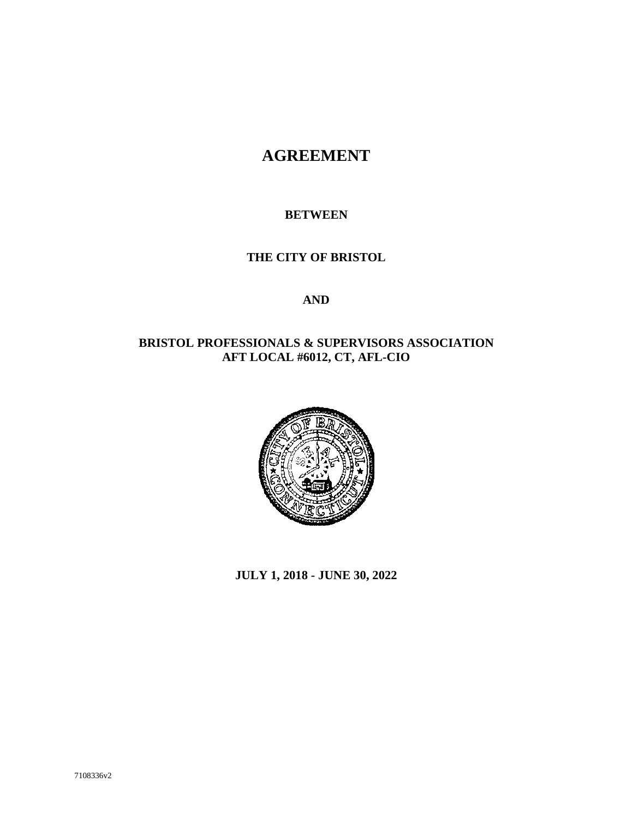## **AGREEMENT**

#### **BETWEEN**

#### **THE CITY OF BRISTOL**

#### **AND**

#### **BRISTOL PROFESSIONALS & SUPERVISORS ASSOCIATION AFT LOCAL #6012, CT, AFL-CIO**



**JULY 1, 2018 - JUNE 30, 2022**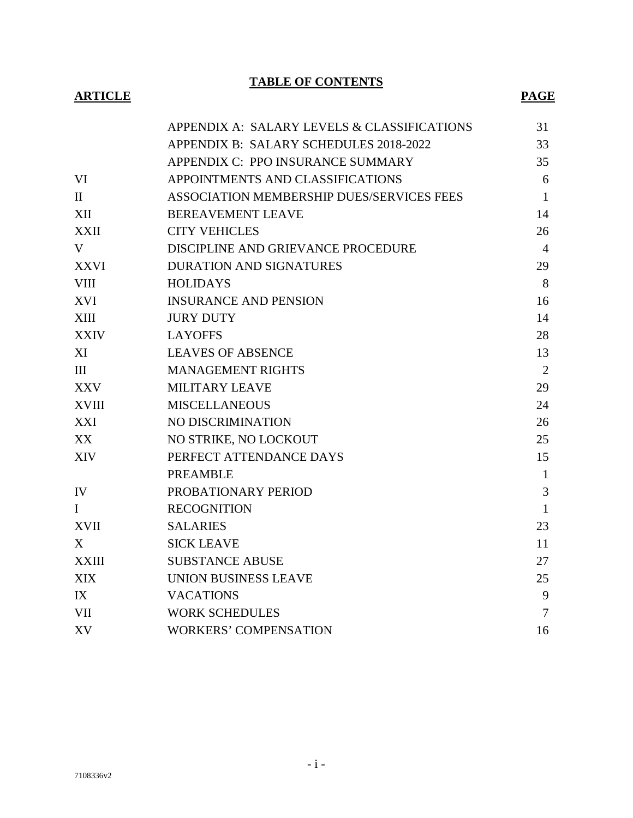**TABLE OF CONTENTS**

#### **ARTICLE PAGE**

|              | APPENDIX A: SALARY LEVELS & CLASSIFICATIONS | 31             |
|--------------|---------------------------------------------|----------------|
|              | APPENDIX B: SALARY SCHEDULES 2018-2022      | 33             |
|              | APPENDIX C: PPO INSURANCE SUMMARY           | 35             |
| VI           | APPOINTMENTS AND CLASSIFICATIONS            | 6              |
| $\mathbf{I}$ | ASSOCIATION MEMBERSHIP DUES/SERVICES FEES   | $\mathbf{1}$   |
| XII          | <b>BEREAVEMENT LEAVE</b>                    | 14             |
| <b>XXII</b>  | <b>CITY VEHICLES</b>                        | 26             |
| V            | DISCIPLINE AND GRIEVANCE PROCEDURE          | $\overline{4}$ |
| <b>XXVI</b>  | <b>DURATION AND SIGNATURES</b>              | 29             |
| <b>VIII</b>  | <b>HOLIDAYS</b>                             | 8              |
| <b>XVI</b>   | <b>INSURANCE AND PENSION</b>                | 16             |
| XIII         | <b>JURY DUTY</b>                            | 14             |
| <b>XXIV</b>  | <b>LAYOFFS</b>                              | 28             |
| XI           | <b>LEAVES OF ABSENCE</b>                    | 13             |
| III          | <b>MANAGEMENT RIGHTS</b>                    | $\overline{2}$ |
| XXV          | MILITARY LEAVE                              | 29             |
| <b>XVIII</b> | <b>MISCELLANEOUS</b>                        | 24             |
| XXI          | NO DISCRIMINATION                           | 26             |
| XX           | NO STRIKE, NO LOCKOUT                       | 25             |
| <b>XIV</b>   | PERFECT ATTENDANCE DAYS                     | 15             |
|              | <b>PREAMBLE</b>                             | $\mathbf{1}$   |
| IV           | PROBATIONARY PERIOD                         | 3              |
| $\bf{I}$     | <b>RECOGNITION</b>                          | $\mathbf{1}$   |
| <b>XVII</b>  | <b>SALARIES</b>                             | 23             |
| X            | <b>SICK LEAVE</b>                           | 11             |
| <b>XXIII</b> | <b>SUBSTANCE ABUSE</b>                      | 27             |
| <b>XIX</b>   | UNION BUSINESS LEAVE                        | 25             |
| IX           | <b>VACATIONS</b>                            | 9              |
| <b>VII</b>   | <b>WORK SCHEDULES</b>                       | $\tau$         |
| XV           | <b>WORKERS' COMPENSATION</b>                | 16             |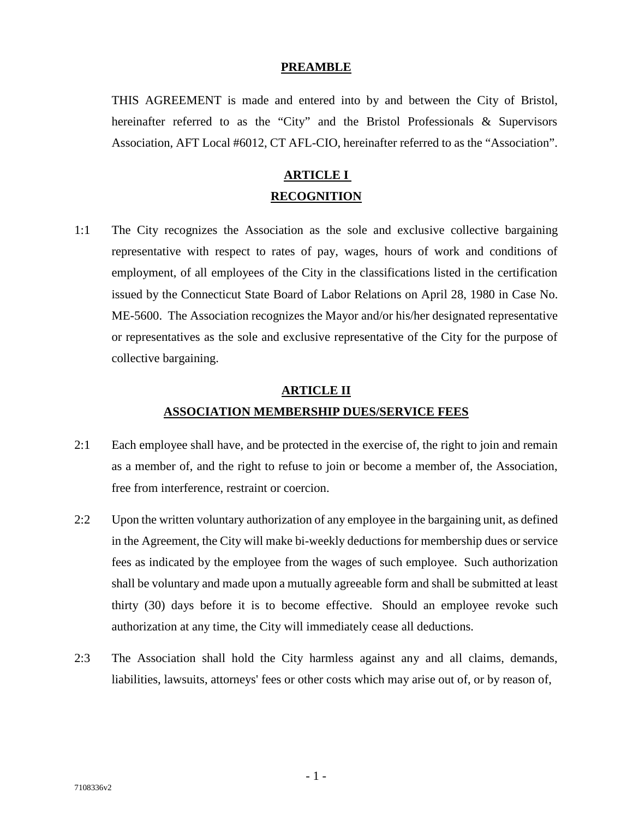#### **PREAMBLE**

THIS AGREEMENT is made and entered into by and between the City of Bristol, hereinafter referred to as the "City" and the Bristol Professionals & Supervisors Association, AFT Local #6012, CT AFL-CIO, hereinafter referred to as the "Association".

### **ARTICLE I RECOGNITION**

1:1 The City recognizes the Association as the sole and exclusive collective bargaining representative with respect to rates of pay, wages, hours of work and conditions of employment, of all employees of the City in the classifications listed in the certification issued by the Connecticut State Board of Labor Relations on April 28, 1980 in Case No. ME-5600. The Association recognizes the Mayor and/or his/her designated representative or representatives as the sole and exclusive representative of the City for the purpose of collective bargaining.

## **ARTICLE II ASSOCIATION MEMBERSHIP DUES/SERVICE FEES**

- 2:1 Each employee shall have, and be protected in the exercise of, the right to join and remain as a member of, and the right to refuse to join or become a member of, the Association, free from interference, restraint or coercion.
- 2:2 Upon the written voluntary authorization of any employee in the bargaining unit, as defined in the Agreement, the City will make bi-weekly deductions for membership dues or service fees as indicated by the employee from the wages of such employee. Such authorization shall be voluntary and made upon a mutually agreeable form and shall be submitted at least thirty (30) days before it is to become effective. Should an employee revoke such authorization at any time, the City will immediately cease all deductions.
- 2:3 The Association shall hold the City harmless against any and all claims, demands, liabilities, lawsuits, attorneys' fees or other costs which may arise out of, or by reason of,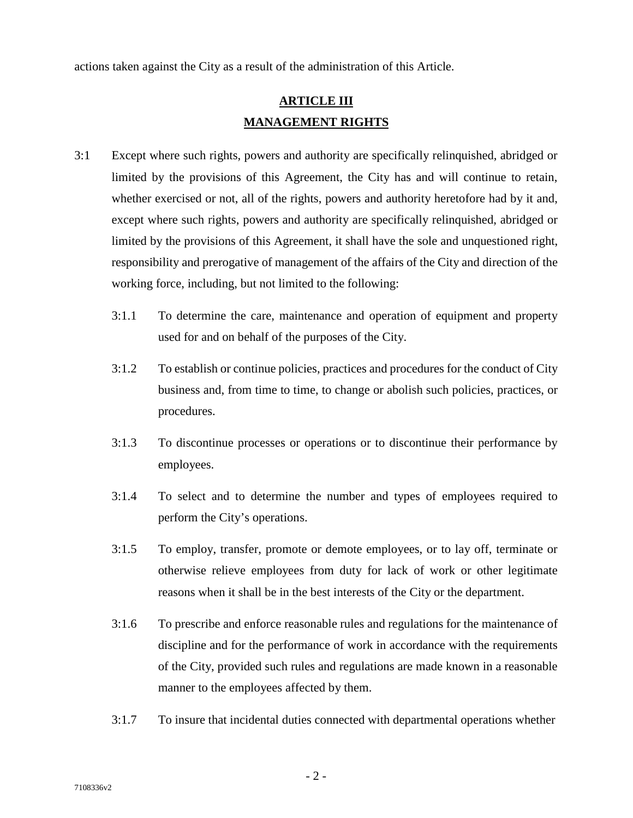actions taken against the City as a result of the administration of this Article.

### **ARTICLE III MANAGEMENT RIGHTS**

- 3:1 Except where such rights, powers and authority are specifically relinquished, abridged or limited by the provisions of this Agreement, the City has and will continue to retain, whether exercised or not, all of the rights, powers and authority heretofore had by it and, except where such rights, powers and authority are specifically relinquished, abridged or limited by the provisions of this Agreement, it shall have the sole and unquestioned right, responsibility and prerogative of management of the affairs of the City and direction of the working force, including, but not limited to the following:
	- 3:1.1 To determine the care, maintenance and operation of equipment and property used for and on behalf of the purposes of the City.
	- 3:1.2 To establish or continue policies, practices and procedures for the conduct of City business and, from time to time, to change or abolish such policies, practices, or procedures.
	- 3:1.3 To discontinue processes or operations or to discontinue their performance by employees.
	- 3:1.4 To select and to determine the number and types of employees required to perform the City's operations.
	- 3:1.5 To employ, transfer, promote or demote employees, or to lay off, terminate or otherwise relieve employees from duty for lack of work or other legitimate reasons when it shall be in the best interests of the City or the department.
	- 3:1.6 To prescribe and enforce reasonable rules and regulations for the maintenance of discipline and for the performance of work in accordance with the requirements of the City, provided such rules and regulations are made known in a reasonable manner to the employees affected by them.
	- 3:1.7 To insure that incidental duties connected with departmental operations whether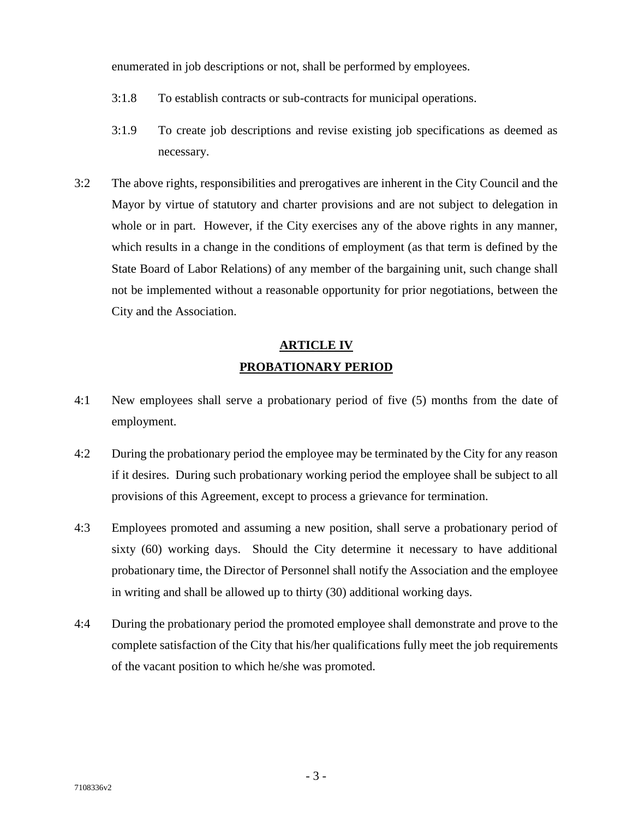enumerated in job descriptions or not, shall be performed by employees.

- 3:1.8 To establish contracts or sub-contracts for municipal operations.
- 3:1.9 To create job descriptions and revise existing job specifications as deemed as necessary.
- 3:2 The above rights, responsibilities and prerogatives are inherent in the City Council and the Mayor by virtue of statutory and charter provisions and are not subject to delegation in whole or in part. However, if the City exercises any of the above rights in any manner, which results in a change in the conditions of employment (as that term is defined by the State Board of Labor Relations) of any member of the bargaining unit, such change shall not be implemented without a reasonable opportunity for prior negotiations, between the City and the Association.

## **ARTICLE IV PROBATIONARY PERIOD**

- 4:1 New employees shall serve a probationary period of five (5) months from the date of employment.
- 4:2 During the probationary period the employee may be terminated by the City for any reason if it desires. During such probationary working period the employee shall be subject to all provisions of this Agreement, except to process a grievance for termination.
- 4:3 Employees promoted and assuming a new position, shall serve a probationary period of sixty (60) working days. Should the City determine it necessary to have additional probationary time, the Director of Personnel shall notify the Association and the employee in writing and shall be allowed up to thirty (30) additional working days.
- 4:4 During the probationary period the promoted employee shall demonstrate and prove to the complete satisfaction of the City that his/her qualifications fully meet the job requirements of the vacant position to which he/she was promoted.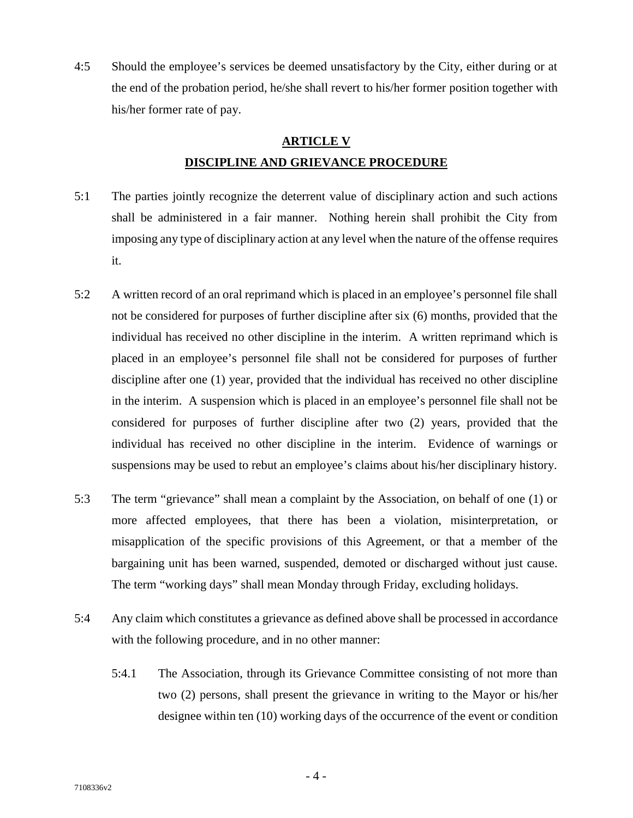4:5 Should the employee's services be deemed unsatisfactory by the City, either during or at the end of the probation period, he/she shall revert to his/her former position together with his/her former rate of pay.

# **ARTICLE V DISCIPLINE AND GRIEVANCE PROCEDURE**

- 5:1 The parties jointly recognize the deterrent value of disciplinary action and such actions shall be administered in a fair manner. Nothing herein shall prohibit the City from imposing any type of disciplinary action at any level when the nature of the offense requires it.
- 5:2 A written record of an oral reprimand which is placed in an employee's personnel file shall not be considered for purposes of further discipline after six (6) months, provided that the individual has received no other discipline in the interim. A written reprimand which is placed in an employee's personnel file shall not be considered for purposes of further discipline after one (1) year, provided that the individual has received no other discipline in the interim. A suspension which is placed in an employee's personnel file shall not be considered for purposes of further discipline after two (2) years, provided that the individual has received no other discipline in the interim. Evidence of warnings or suspensions may be used to rebut an employee's claims about his/her disciplinary history.
- 5:3 The term "grievance" shall mean a complaint by the Association, on behalf of one (1) or more affected employees, that there has been a violation, misinterpretation, or misapplication of the specific provisions of this Agreement, or that a member of the bargaining unit has been warned, suspended, demoted or discharged without just cause. The term "working days" shall mean Monday through Friday, excluding holidays.
- 5:4 Any claim which constitutes a grievance as defined above shall be processed in accordance with the following procedure, and in no other manner:
	- 5:4.1 The Association, through its Grievance Committee consisting of not more than two (2) persons, shall present the grievance in writing to the Mayor or his/her designee within ten (10) working days of the occurrence of the event or condition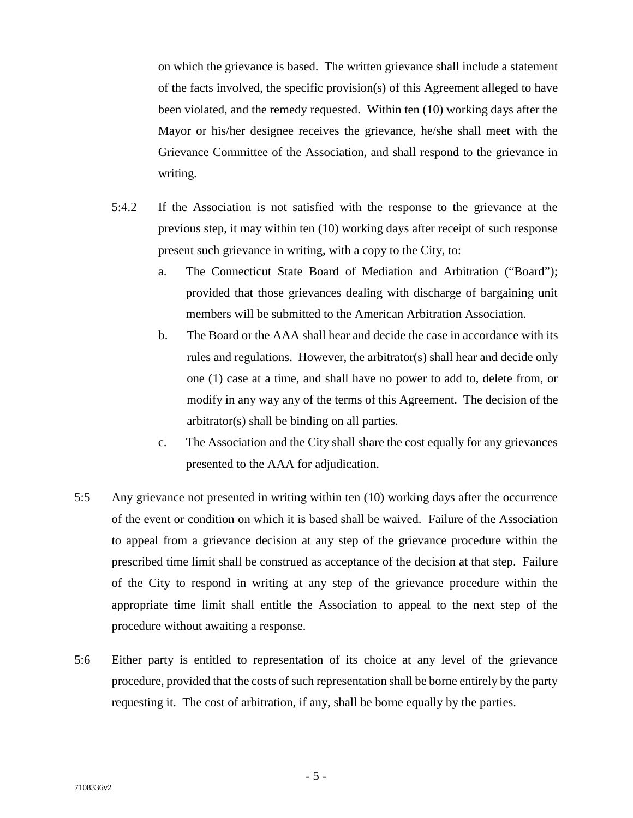on which the grievance is based. The written grievance shall include a statement of the facts involved, the specific provision(s) of this Agreement alleged to have been violated, and the remedy requested. Within ten (10) working days after the Mayor or his/her designee receives the grievance, he/she shall meet with the Grievance Committee of the Association, and shall respond to the grievance in writing.

- 5:4.2 If the Association is not satisfied with the response to the grievance at the previous step, it may within ten (10) working days after receipt of such response present such grievance in writing, with a copy to the City, to:
	- a. The Connecticut State Board of Mediation and Arbitration ("Board"); provided that those grievances dealing with discharge of bargaining unit members will be submitted to the American Arbitration Association.
	- b. The Board or the AAA shall hear and decide the case in accordance with its rules and regulations. However, the arbitrator(s) shall hear and decide only one (1) case at a time, and shall have no power to add to, delete from, or modify in any way any of the terms of this Agreement. The decision of the arbitrator(s) shall be binding on all parties.
	- c. The Association and the City shall share the cost equally for any grievances presented to the AAA for adjudication.
- 5:5 Any grievance not presented in writing within ten (10) working days after the occurrence of the event or condition on which it is based shall be waived. Failure of the Association to appeal from a grievance decision at any step of the grievance procedure within the prescribed time limit shall be construed as acceptance of the decision at that step. Failure of the City to respond in writing at any step of the grievance procedure within the appropriate time limit shall entitle the Association to appeal to the next step of the procedure without awaiting a response.
- 5:6 Either party is entitled to representation of its choice at any level of the grievance procedure, provided that the costs of such representation shall be borne entirely by the party requesting it. The cost of arbitration, if any, shall be borne equally by the parties.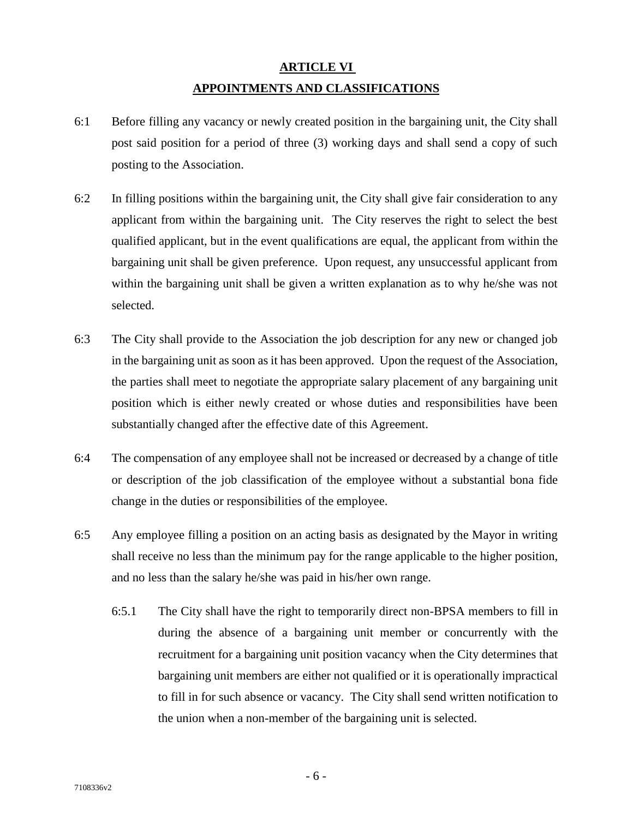## **ARTICLE VI APPOINTMENTS AND CLASSIFICATIONS**

- 6:1 Before filling any vacancy or newly created position in the bargaining unit, the City shall post said position for a period of three (3) working days and shall send a copy of such posting to the Association.
- 6:2 In filling positions within the bargaining unit, the City shall give fair consideration to any applicant from within the bargaining unit. The City reserves the right to select the best qualified applicant, but in the event qualifications are equal, the applicant from within the bargaining unit shall be given preference. Upon request, any unsuccessful applicant from within the bargaining unit shall be given a written explanation as to why he/she was not selected.
- 6:3 The City shall provide to the Association the job description for any new or changed job in the bargaining unit as soon as it has been approved. Upon the request of the Association, the parties shall meet to negotiate the appropriate salary placement of any bargaining unit position which is either newly created or whose duties and responsibilities have been substantially changed after the effective date of this Agreement.
- 6:4 The compensation of any employee shall not be increased or decreased by a change of title or description of the job classification of the employee without a substantial bona fide change in the duties or responsibilities of the employee.
- 6:5 Any employee filling a position on an acting basis as designated by the Mayor in writing shall receive no less than the minimum pay for the range applicable to the higher position, and no less than the salary he/she was paid in his/her own range.
	- 6:5.1 The City shall have the right to temporarily direct non-BPSA members to fill in during the absence of a bargaining unit member or concurrently with the recruitment for a bargaining unit position vacancy when the City determines that bargaining unit members are either not qualified or it is operationally impractical to fill in for such absence or vacancy. The City shall send written notification to the union when a non-member of the bargaining unit is selected.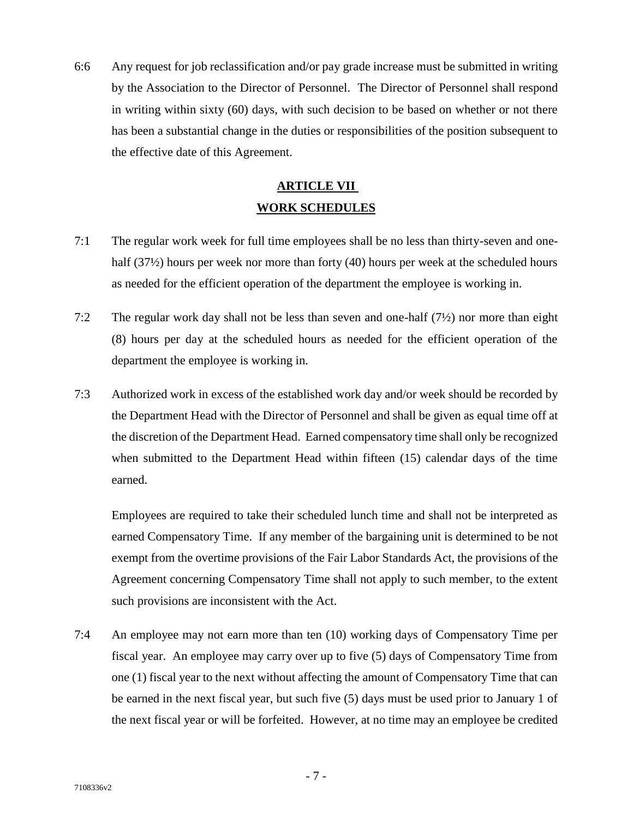6:6 Any request for job reclassification and/or pay grade increase must be submitted in writing by the Association to the Director of Personnel. The Director of Personnel shall respond in writing within sixty (60) days, with such decision to be based on whether or not there has been a substantial change in the duties or responsibilities of the position subsequent to the effective date of this Agreement.

### **ARTICLE VII WORK SCHEDULES**

- 7:1 The regular work week for full time employees shall be no less than thirty-seven and one half (37<sup>1</sup>/<sub>2</sub>) hours per week nor more than forty (40) hours per week at the scheduled hours as needed for the efficient operation of the department the employee is working in.
- 7:2 The regular work day shall not be less than seven and one-half (7½) nor more than eight (8) hours per day at the scheduled hours as needed for the efficient operation of the department the employee is working in.
- 7:3 Authorized work in excess of the established work day and/or week should be recorded by the Department Head with the Director of Personnel and shall be given as equal time off at the discretion of the Department Head. Earned compensatory time shall only be recognized when submitted to the Department Head within fifteen (15) calendar days of the time earned.

Employees are required to take their scheduled lunch time and shall not be interpreted as earned Compensatory Time. If any member of the bargaining unit is determined to be not exempt from the overtime provisions of the Fair Labor Standards Act, the provisions of the Agreement concerning Compensatory Time shall not apply to such member, to the extent such provisions are inconsistent with the Act.

7:4 An employee may not earn more than ten (10) working days of Compensatory Time per fiscal year. An employee may carry over up to five (5) days of Compensatory Time from one (1) fiscal year to the next without affecting the amount of Compensatory Time that can be earned in the next fiscal year, but such five (5) days must be used prior to January 1 of the next fiscal year or will be forfeited. However, at no time may an employee be credited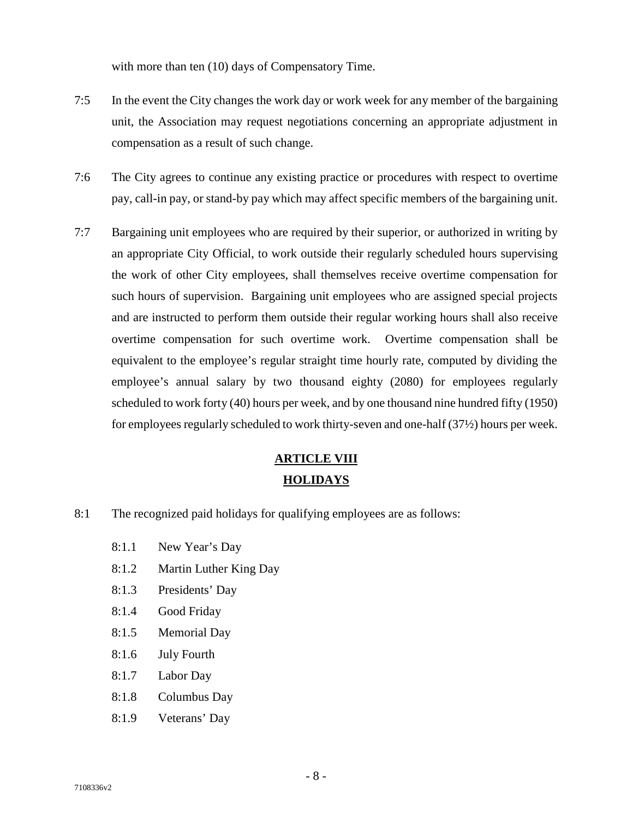with more than ten (10) days of Compensatory Time.

- 7:5 In the event the City changes the work day or work week for any member of the bargaining unit, the Association may request negotiations concerning an appropriate adjustment in compensation as a result of such change.
- 7:6 The City agrees to continue any existing practice or procedures with respect to overtime pay, call-in pay, or stand-by pay which may affect specific members of the bargaining unit.
- 7:7 Bargaining unit employees who are required by their superior, or authorized in writing by an appropriate City Official, to work outside their regularly scheduled hours supervising the work of other City employees, shall themselves receive overtime compensation for such hours of supervision. Bargaining unit employees who are assigned special projects and are instructed to perform them outside their regular working hours shall also receive overtime compensation for such overtime work. Overtime compensation shall be equivalent to the employee's regular straight time hourly rate, computed by dividing the employee's annual salary by two thousand eighty (2080) for employees regularly scheduled to work forty (40) hours per week, and by one thousand nine hundred fifty (1950) for employees regularly scheduled to work thirty-seven and one-half (37½) hours per week.

### **ARTICLE VIII HOLIDAYS**

- 8:1 The recognized paid holidays for qualifying employees are as follows:
	- 8:1.1 New Year's Day
	- 8:1.2 Martin Luther King Day
	- 8:1.3 Presidents' Day
	- 8:1.4 Good Friday
	- 8:1.5 Memorial Day
	- 8:1.6 July Fourth
	- 8:1.7 Labor Day
	- 8:1.8 Columbus Day
	- 8:1.9 Veterans' Day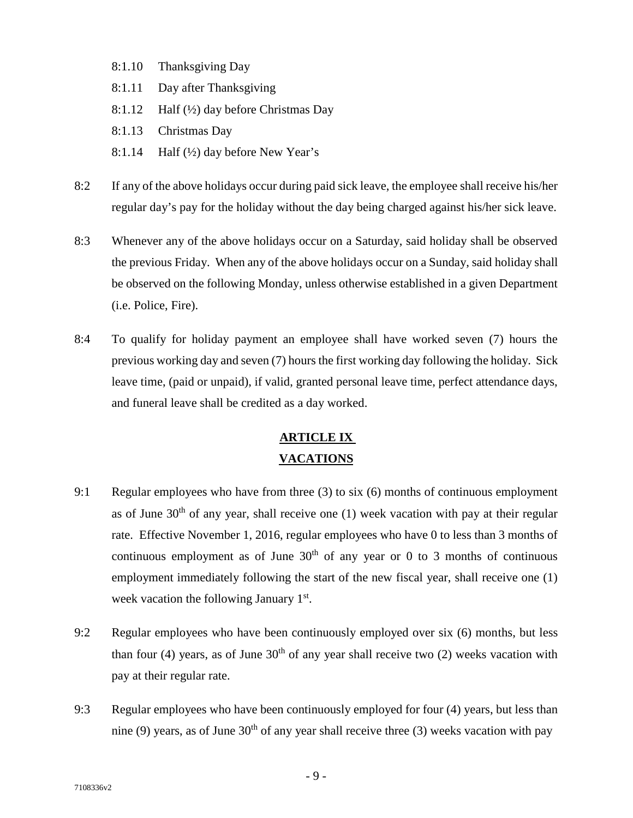- 8:1.10 Thanksgiving Day
- 8:1.11 Day after Thanksgiving
- 8:1.12 Half (½) day before Christmas Day
- 8:1.13 Christmas Day
- 8:1.14 Half  $(\frac{1}{2})$  day before New Year's
- 8:2 If any of the above holidays occur during paid sick leave, the employee shall receive his/her regular day's pay for the holiday without the day being charged against his/her sick leave.
- 8:3 Whenever any of the above holidays occur on a Saturday, said holiday shall be observed the previous Friday. When any of the above holidays occur on a Sunday, said holiday shall be observed on the following Monday, unless otherwise established in a given Department (i.e. Police, Fire).
- 8:4 To qualify for holiday payment an employee shall have worked seven (7) hours the previous working day and seven (7) hours the first working day following the holiday. Sick leave time, (paid or unpaid), if valid, granted personal leave time, perfect attendance days, and funeral leave shall be credited as a day worked.

### **ARTICLE IX VACATIONS**

- 9:1 Regular employees who have from three (3) to six (6) months of continuous employment as of June  $30<sup>th</sup>$  of any year, shall receive one (1) week vacation with pay at their regular rate. Effective November 1, 2016, regular employees who have 0 to less than 3 months of continuous employment as of June  $30<sup>th</sup>$  of any year or 0 to 3 months of continuous employment immediately following the start of the new fiscal year, shall receive one (1) week vacation the following January 1<sup>st</sup>.
- 9:2 Regular employees who have been continuously employed over six (6) months, but less than four (4) years, as of June  $30<sup>th</sup>$  of any year shall receive two (2) weeks vacation with pay at their regular rate.
- 9:3 Regular employees who have been continuously employed for four (4) years, but less than nine (9) years, as of June  $30<sup>th</sup>$  of any year shall receive three (3) weeks vacation with pay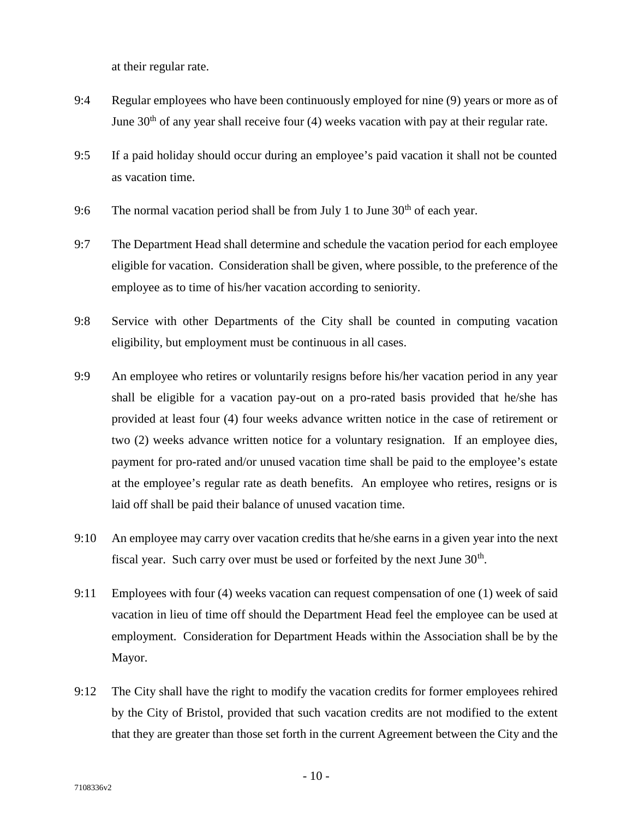at their regular rate.

- 9:4 Regular employees who have been continuously employed for nine (9) years or more as of June  $30<sup>th</sup>$  of any year shall receive four (4) weeks vacation with pay at their regular rate.
- 9:5 If a paid holiday should occur during an employee's paid vacation it shall not be counted as vacation time.
- 9:6 The normal vacation period shall be from July 1 to June  $30<sup>th</sup>$  of each year.
- 9:7 The Department Head shall determine and schedule the vacation period for each employee eligible for vacation. Consideration shall be given, where possible, to the preference of the employee as to time of his/her vacation according to seniority.
- 9:8 Service with other Departments of the City shall be counted in computing vacation eligibility, but employment must be continuous in all cases.
- 9:9 An employee who retires or voluntarily resigns before his/her vacation period in any year shall be eligible for a vacation pay-out on a pro-rated basis provided that he/she has provided at least four (4) four weeks advance written notice in the case of retirement or two (2) weeks advance written notice for a voluntary resignation. If an employee dies, payment for pro-rated and/or unused vacation time shall be paid to the employee's estate at the employee's regular rate as death benefits. An employee who retires, resigns or is laid off shall be paid their balance of unused vacation time.
- 9:10 An employee may carry over vacation credits that he/she earns in a given year into the next fiscal year. Such carry over must be used or forfeited by the next June  $30<sup>th</sup>$ .
- 9:11 Employees with four (4) weeks vacation can request compensation of one (1) week of said vacation in lieu of time off should the Department Head feel the employee can be used at employment. Consideration for Department Heads within the Association shall be by the Mayor.
- 9:12 The City shall have the right to modify the vacation credits for former employees rehired by the City of Bristol, provided that such vacation credits are not modified to the extent that they are greater than those set forth in the current Agreement between the City and the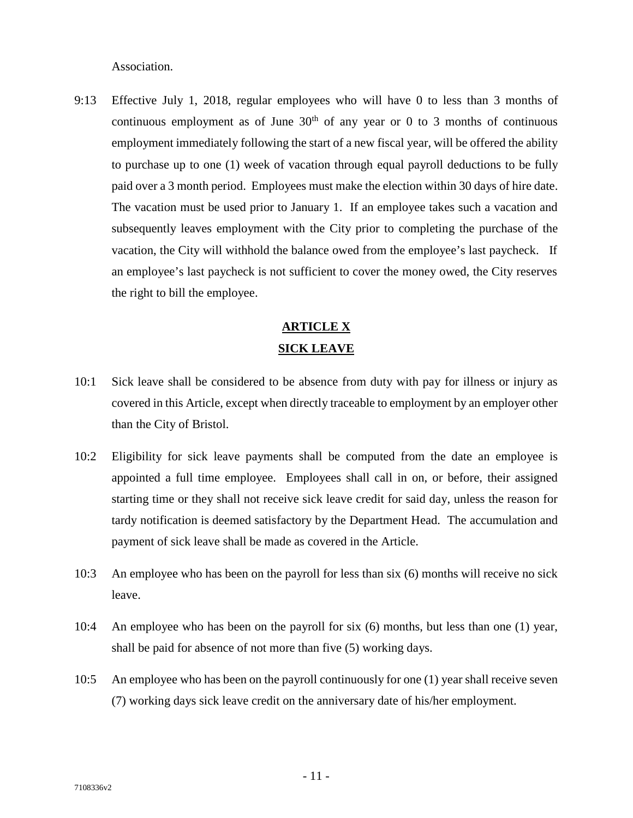Association.

9:13 Effective July 1, 2018, regular employees who will have 0 to less than 3 months of continuous employment as of June  $30<sup>th</sup>$  of any year or 0 to 3 months of continuous employment immediately following the start of a new fiscal year, will be offered the ability to purchase up to one (1) week of vacation through equal payroll deductions to be fully paid over a 3 month period. Employees must make the election within 30 days of hire date. The vacation must be used prior to January 1. If an employee takes such a vacation and subsequently leaves employment with the City prior to completing the purchase of the vacation, the City will withhold the balance owed from the employee's last paycheck. If an employee's last paycheck is not sufficient to cover the money owed, the City reserves the right to bill the employee.

### **ARTICLE X SICK LEAVE**

- 10:1 Sick leave shall be considered to be absence from duty with pay for illness or injury as covered in this Article, except when directly traceable to employment by an employer other than the City of Bristol.
- 10:2 Eligibility for sick leave payments shall be computed from the date an employee is appointed a full time employee. Employees shall call in on, or before, their assigned starting time or they shall not receive sick leave credit for said day, unless the reason for tardy notification is deemed satisfactory by the Department Head. The accumulation and payment of sick leave shall be made as covered in the Article.
- 10:3 An employee who has been on the payroll for less than six (6) months will receive no sick leave.
- 10:4 An employee who has been on the payroll for six (6) months, but less than one (1) year, shall be paid for absence of not more than five (5) working days.
- 10:5 An employee who has been on the payroll continuously for one (1) year shall receive seven (7) working days sick leave credit on the anniversary date of his/her employment.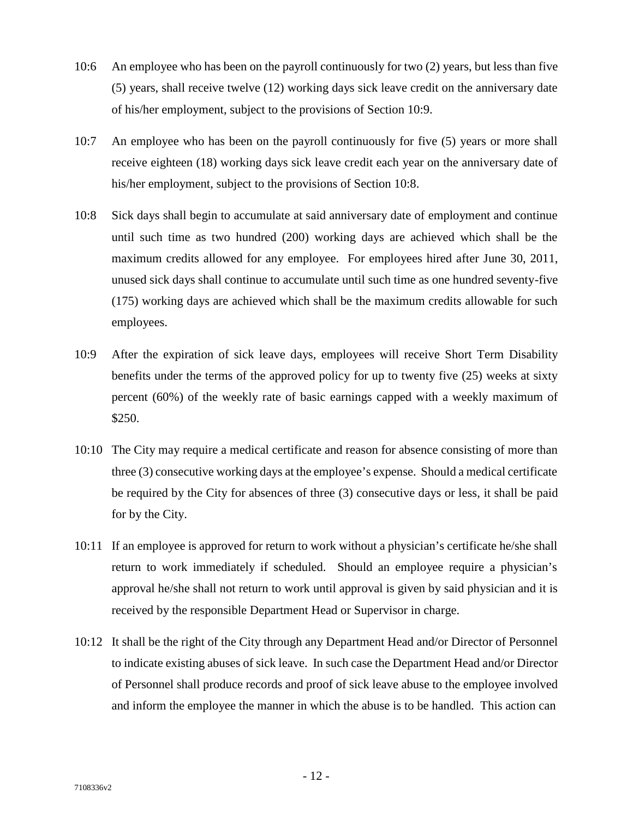- 10:6 An employee who has been on the payroll continuously for two (2) years, but less than five (5) years, shall receive twelve (12) working days sick leave credit on the anniversary date of his/her employment, subject to the provisions of Section 10:9.
- 10:7 An employee who has been on the payroll continuously for five (5) years or more shall receive eighteen (18) working days sick leave credit each year on the anniversary date of his/her employment, subject to the provisions of Section 10:8.
- 10:8 Sick days shall begin to accumulate at said anniversary date of employment and continue until such time as two hundred (200) working days are achieved which shall be the maximum credits allowed for any employee. For employees hired after June 30, 2011, unused sick days shall continue to accumulate until such time as one hundred seventy-five (175) working days are achieved which shall be the maximum credits allowable for such employees.
- 10:9 After the expiration of sick leave days, employees will receive Short Term Disability benefits under the terms of the approved policy for up to twenty five (25) weeks at sixty percent (60%) of the weekly rate of basic earnings capped with a weekly maximum of \$250.
- 10:10 The City may require a medical certificate and reason for absence consisting of more than three (3) consecutive working days at the employee's expense. Should a medical certificate be required by the City for absences of three (3) consecutive days or less, it shall be paid for by the City.
- 10:11 If an employee is approved for return to work without a physician's certificate he/she shall return to work immediately if scheduled. Should an employee require a physician's approval he/she shall not return to work until approval is given by said physician and it is received by the responsible Department Head or Supervisor in charge.
- 10:12 It shall be the right of the City through any Department Head and/or Director of Personnel to indicate existing abuses of sick leave. In such case the Department Head and/or Director of Personnel shall produce records and proof of sick leave abuse to the employee involved and inform the employee the manner in which the abuse is to be handled. This action can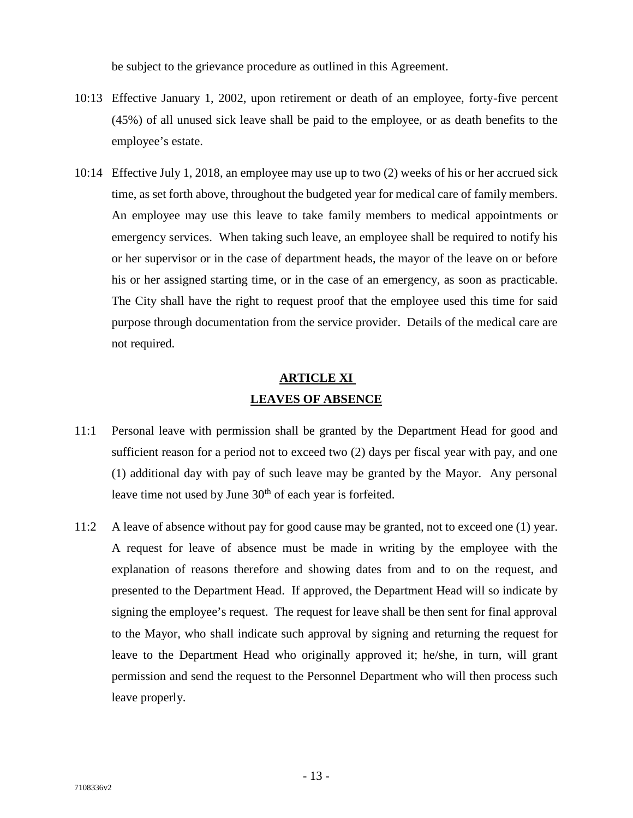be subject to the grievance procedure as outlined in this Agreement.

- 10:13 Effective January 1, 2002, upon retirement or death of an employee, forty-five percent (45%) of all unused sick leave shall be paid to the employee, or as death benefits to the employee's estate.
- 10:14 Effective July 1, 2018, an employee may use up to two (2) weeks of his or her accrued sick time, as set forth above, throughout the budgeted year for medical care of family members. An employee may use this leave to take family members to medical appointments or emergency services. When taking such leave, an employee shall be required to notify his or her supervisor or in the case of department heads, the mayor of the leave on or before his or her assigned starting time, or in the case of an emergency, as soon as practicable. The City shall have the right to request proof that the employee used this time for said purpose through documentation from the service provider. Details of the medical care are not required.

### **ARTICLE XI LEAVES OF ABSENCE**

- 11:1 Personal leave with permission shall be granted by the Department Head for good and sufficient reason for a period not to exceed two (2) days per fiscal year with pay, and one (1) additional day with pay of such leave may be granted by the Mayor. Any personal leave time not used by June 30<sup>th</sup> of each year is forfeited.
- 11:2 A leave of absence without pay for good cause may be granted, not to exceed one (1) year. A request for leave of absence must be made in writing by the employee with the explanation of reasons therefore and showing dates from and to on the request, and presented to the Department Head. If approved, the Department Head will so indicate by signing the employee's request. The request for leave shall be then sent for final approval to the Mayor, who shall indicate such approval by signing and returning the request for leave to the Department Head who originally approved it; he/she, in turn, will grant permission and send the request to the Personnel Department who will then process such leave properly.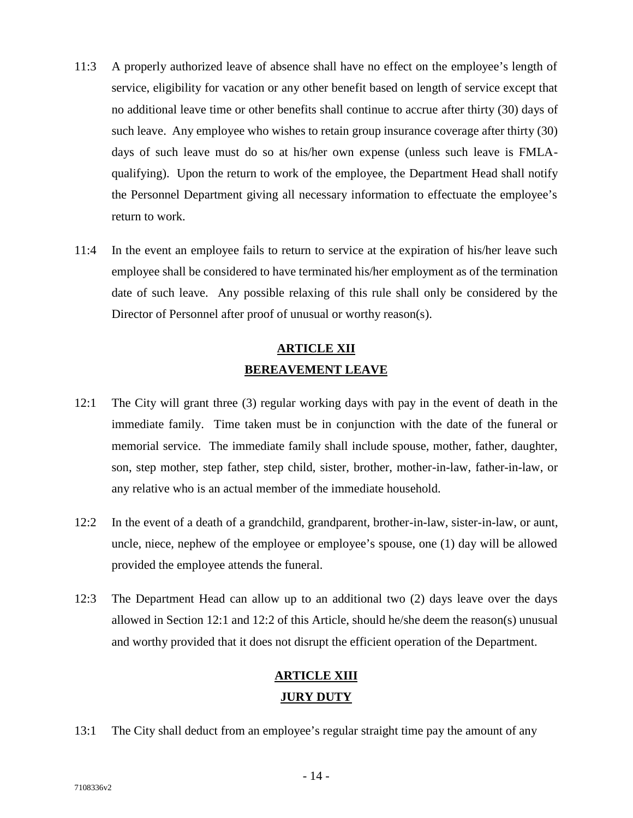- 11:3 A properly authorized leave of absence shall have no effect on the employee's length of service, eligibility for vacation or any other benefit based on length of service except that no additional leave time or other benefits shall continue to accrue after thirty (30) days of such leave. Any employee who wishes to retain group insurance coverage after thirty (30) days of such leave must do so at his/her own expense (unless such leave is FMLA qualifying). Upon the return to work of the employee, the Department Head shall notify the Personnel Department giving all necessary information to effectuate the employee's return to work.
- 11:4 In the event an employee fails to return to service at the expiration of his/her leave such employee shall be considered to have terminated his/her employment as of the termination date of such leave. Any possible relaxing of this rule shall only be considered by the Director of Personnel after proof of unusual or worthy reason(s).

# **ARTICLE XII BEREAVEMENT LEAVE**

- 12:1 The City will grant three (3) regular working days with pay in the event of death in the immediate family. Time taken must be in conjunction with the date of the funeral or memorial service. The immediate family shall include spouse, mother, father, daughter, son, step mother, step father, step child, sister, brother, mother-in-law, father-in-law, or any relative who is an actual member of the immediate household.
- 12:2 In the event of a death of a grandchild, grandparent, brother-in-law, sister-in-law, or aunt, uncle, niece, nephew of the employee or employee's spouse, one (1) day will be allowed provided the employee attends the funeral.
- 12:3 The Department Head can allow up to an additional two (2) days leave over the days allowed in Section 12:1 and 12:2 of this Article, should he/she deem the reason(s) unusual and worthy provided that it does not disrupt the efficient operation of the Department.

# **ARTICLE XIII JURY DUTY**

13:1 The City shall deduct from an employee's regular straight time pay the amount of any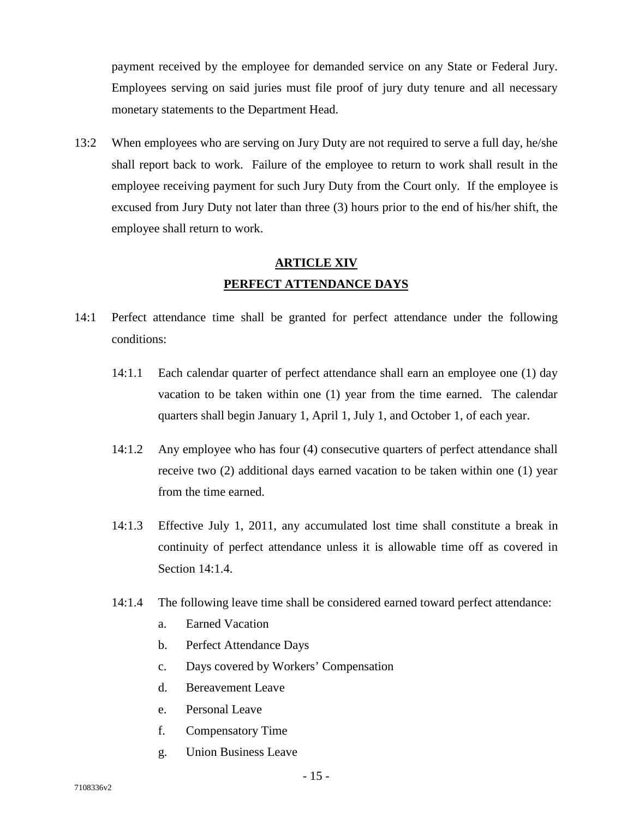payment received by the employee for demanded service on any State or Federal Jury. Employees serving on said juries must file proof of jury duty tenure and all necessary monetary statements to the Department Head.

13:2 When employees who are serving on Jury Duty are not required to serve a full day, he/she shall report back to work. Failure of the employee to return to work shall result in the employee receiving payment for such Jury Duty from the Court only. If the employee is excused from Jury Duty not later than three (3) hours prior to the end of his/her shift, the employee shall return to work.

# **ARTICLE XIV PERFECT ATTENDANCE DAYS**

- 14:1 Perfect attendance time shall be granted for perfect attendance under the following conditions:
	- 14:1.1 Each calendar quarter of perfect attendance shall earn an employee one (1) day vacation to be taken within one (1) year from the time earned. The calendar quarters shall begin January 1, April 1, July 1, and October 1, of each year.
	- 14:1.2 Any employee who has four (4) consecutive quarters of perfect attendance shall receive two (2) additional days earned vacation to be taken within one (1) year from the time earned.
	- 14:1.3 Effective July 1, 2011, any accumulated lost time shall constitute a break in continuity of perfect attendance unless it is allowable time off as covered in Section 14:1.4.
	- 14:1.4 The following leave time shall be considered earned toward perfect attendance:
		- a. Earned Vacation
		- b. Perfect Attendance Days
		- c. Days covered by Workers' Compensation
		- d. Bereavement Leave
		- e. Personal Leave
		- f. Compensatory Time
		- g. Union Business Leave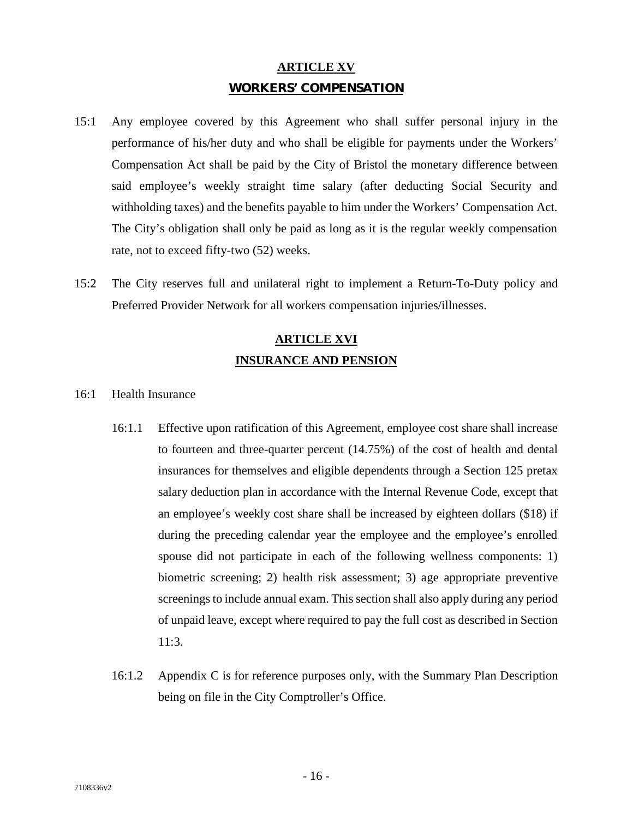### **ARTICLE XV WORKERS' COMPENSATION**

- 15:1 Any employee covered by this Agreement who shall suffer personal injury in the performance of his/her duty and who shall be eligible for payments under the Workers' Compensation Act shall be paid by the City of Bristol the monetary difference between said employee's weekly straight time salary (after deducting Social Security and withholding taxes) and the benefits payable to him under the Workers' Compensation Act. The City's obligation shall only be paid as long as it is the regular weekly compensation rate, not to exceed fifty-two (52) weeks.
- 15:2 The City reserves full and unilateral right to implement a Return-To-Duty policy and Preferred Provider Network for all workers compensation injuries/illnesses.

## **ARTICLE XVI INSURANCE AND PENSION**

- 16:1 Health Insurance
	- 16:1.1 Effective upon ratification of this Agreement, employee cost share shall increase to fourteen and three-quarter percent (14.75%) of the cost of health and dental insurances for themselves and eligible dependents through a Section 125 pretax salary deduction plan in accordance with the Internal Revenue Code, except that an employee's weekly cost share shall be increased by eighteen dollars (\$18) if during the preceding calendar year the employee and the employee's enrolled spouse did not participate in each of the following wellness components: 1) biometric screening; 2) health risk assessment; 3) age appropriate preventive screenings to include annual exam. This section shall also apply during any period of unpaid leave, except where required to pay the full cost as described in Section 11:3.
	- 16:1.2 Appendix C is for reference purposes only, with the Summary Plan Description being on file in the City Comptroller's Office.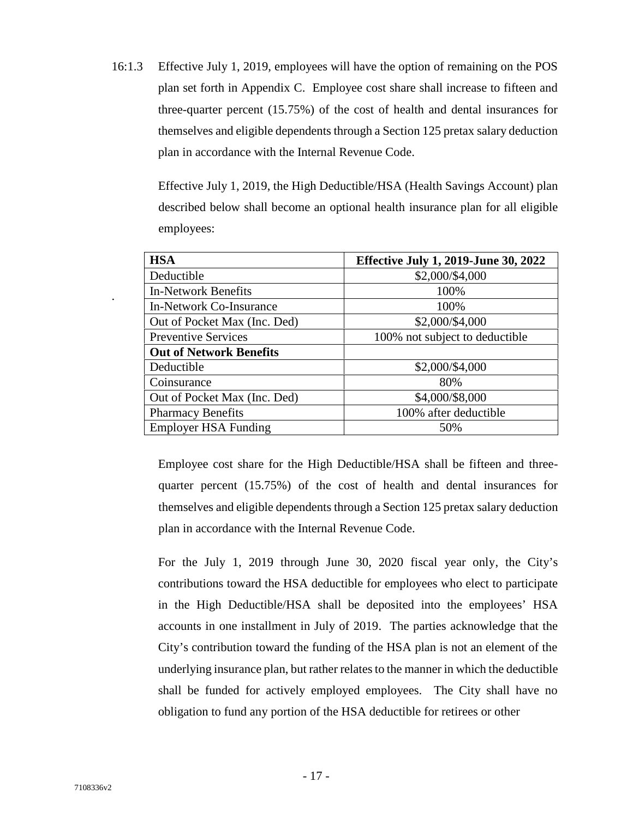16:1.3 Effective July 1, 2019, employees will have the option of remaining on the POS plan set forth in Appendix C. Employee cost share shall increase to fifteen and three-quarter percent (15.75%) of the cost of health and dental insurances for themselves and eligible dependents through a Section 125 pretax salary deduction plan in accordance with the Internal Revenue Code.

> Effective July 1, 2019, the High Deductible/HSA (Health Savings Account) plan described below shall become an optional health insurance plan for all eligible employees:

| <b>HSA</b>                     | <b>Effective July 1, 2019-June 30, 2022</b> |
|--------------------------------|---------------------------------------------|
| Deductible                     | \$2,000/\$4,000                             |
| <b>In-Network Benefits</b>     | 100%                                        |
| In-Network Co-Insurance        | 100%                                        |
| Out of Pocket Max (Inc. Ded)   | \$2,000/\$4,000                             |
| <b>Preventive Services</b>     | 100% not subject to deductible              |
| <b>Out of Network Benefits</b> |                                             |
| Deductible                     | \$2,000/\$4,000                             |
| Coinsurance                    | 80%                                         |
| Out of Pocket Max (Inc. Ded)   | \$4,000/\$8,000                             |
| <b>Pharmacy Benefits</b>       | 100% after deductible                       |
| <b>Employer HSA Funding</b>    | 50%                                         |

Employee cost share for the High Deductible/HSA shall be fifteen and three quarter percent (15.75%) of the cost of health and dental insurances for themselves and eligible dependents through a Section 125 pretax salary deduction plan in accordance with the Internal Revenue Code.

For the July 1, 2019 through June 30, 2020 fiscal year only, the City's contributions toward the HSA deductible for employees who elect to participate in the High Deductible/HSA shall be deposited into the employees' HSA accounts in one installment in July of 2019. The parties acknowledge that the City's contribution toward the funding of the HSA plan is not an element of the underlying insurance plan, but rather relates to the manner in which the deductible shall be funded for actively employed employees. The City shall have no obligation to fund any portion of the HSA deductible for retirees or other

.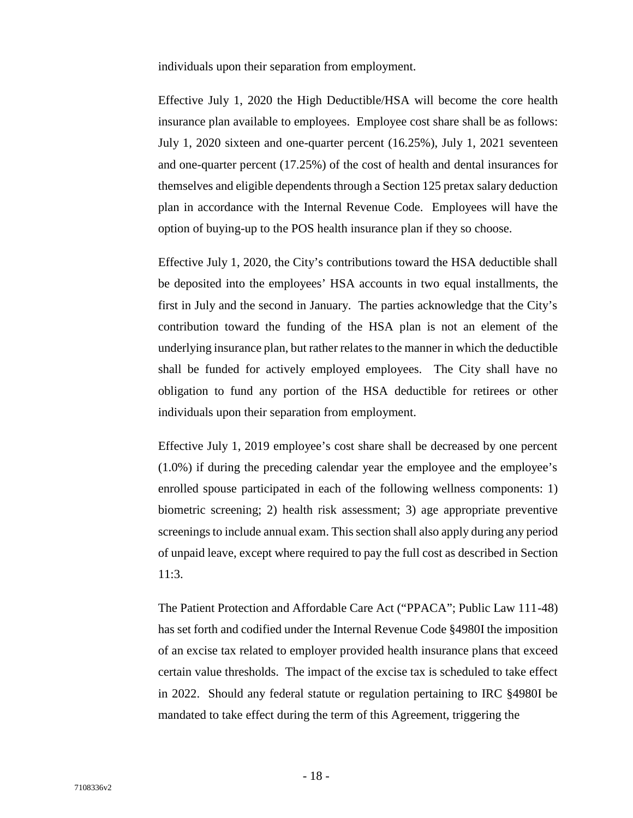individuals upon their separation from employment.

Effective July 1, 2020 the High Deductible/HSA will become the core health insurance plan available to employees. Employee cost share shall be as follows: July 1, 2020 sixteen and one-quarter percent (16.25%), July 1, 2021 seventeen and one-quarter percent (17.25%) of the cost of health and dental insurances for themselves and eligible dependents through a Section 125 pretax salary deduction plan in accordance with the Internal Revenue Code. Employees will have the option of buying-up to the POS health insurance plan if they so choose.

Effective July 1, 2020, the City's contributions toward the HSA deductible shall be deposited into the employees' HSA accounts in two equal installments, the first in July and the second in January. The parties acknowledge that the City's contribution toward the funding of the HSA plan is not an element of the underlying insurance plan, but rather relates to the manner in which the deductible shall be funded for actively employed employees. The City shall have no obligation to fund any portion of the HSA deductible for retirees or other individuals upon their separation from employment.

Effective July 1, 2019 employee's cost share shall be decreased by one percent (1.0%) if during the preceding calendar year the employee and the employee's enrolled spouse participated in each of the following wellness components: 1) biometric screening; 2) health risk assessment; 3) age appropriate preventive screenings to include annual exam. This section shall also apply during any period of unpaid leave, except where required to pay the full cost as described in Section 11:3.

The Patient Protection and Affordable Care Act ("PPACA"; Public Law 111-48) has set forth and codified under the Internal Revenue Code §4980I the imposition of an excise tax related to employer provided health insurance plans that exceed certain value thresholds. The impact of the excise tax is scheduled to take effect in 2022. Should any federal statute or regulation pertaining to IRC §4980I be mandated to take effect during the term of this Agreement, triggering the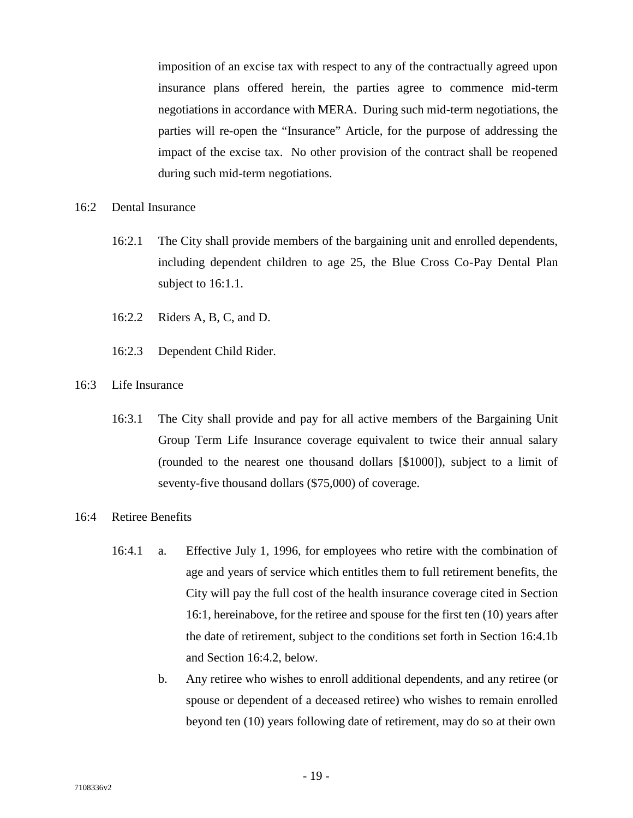imposition of an excise tax with respect to any of the contractually agreed upon insurance plans offered herein, the parties agree to commence mid-term negotiations in accordance with MERA. During such mid-term negotiations, the parties will re-open the "Insurance" Article, for the purpose of addressing the impact of the excise tax. No other provision of the contract shall be reopened during such mid-term negotiations.

#### 16:2 Dental Insurance

- 16:2.1 The City shall provide members of the bargaining unit and enrolled dependents, including dependent children to age 25, the Blue Cross Co-Pay Dental Plan subject to 16:1.1.
- 16:2.2 Riders A, B, C, and D.
- 16:2.3 Dependent Child Rider.
- 16:3 Life Insurance
	- 16:3.1 The City shall provide and pay for all active members of the Bargaining Unit Group Term Life Insurance coverage equivalent to twice their annual salary (rounded to the nearest one thousand dollars [\$1000]), subject to a limit of seventy-five thousand dollars (\$75,000) of coverage.
- 16:4 Retiree Benefits
	- 16:4.1 a. Effective July 1, 1996, for employees who retire with the combination of age and years of service which entitles them to full retirement benefits, the City will pay the full cost of the health insurance coverage cited in Section 16:1, hereinabove, for the retiree and spouse for the first ten (10) years after the date of retirement, subject to the conditions set forth in Section 16:4.1b and Section 16:4.2, below.
		- b. Any retiree who wishes to enroll additional dependents, and any retiree (or spouse or dependent of a deceased retiree) who wishes to remain enrolled beyond ten (10) years following date of retirement, may do so at their own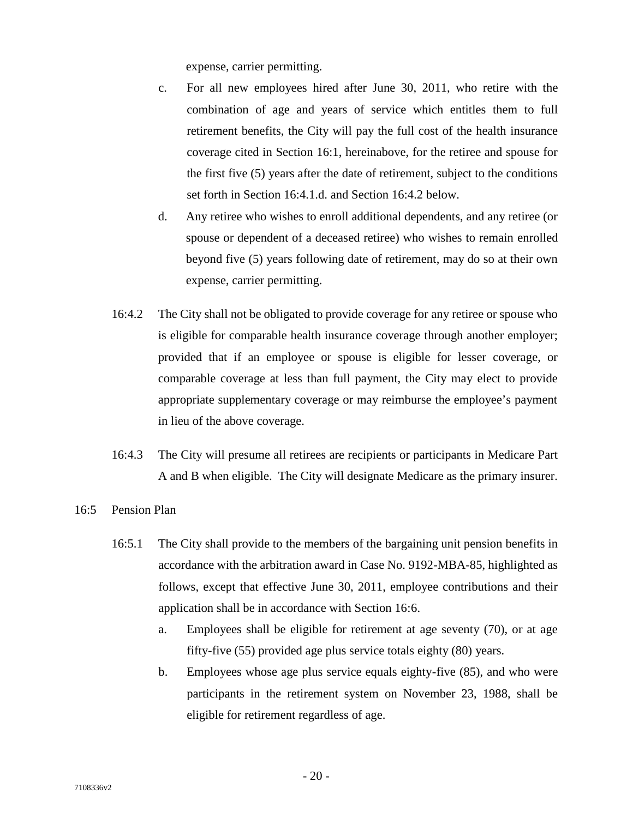expense, carrier permitting.

- c. For all new employees hired after June 30, 2011, who retire with the combination of age and years of service which entitles them to full retirement benefits, the City will pay the full cost of the health insurance coverage cited in Section 16:1, hereinabove, for the retiree and spouse for the first five (5) years after the date of retirement, subject to the conditions set forth in Section 16:4.1.d. and Section 16:4.2 below.
- d. Any retiree who wishes to enroll additional dependents, and any retiree (or spouse or dependent of a deceased retiree) who wishes to remain enrolled beyond five (5) years following date of retirement, may do so at their own expense, carrier permitting.
- 16:4.2 The City shall not be obligated to provide coverage for any retiree or spouse who is eligible for comparable health insurance coverage through another employer; provided that if an employee or spouse is eligible for lesser coverage, or comparable coverage at less than full payment, the City may elect to provide appropriate supplementary coverage or may reimburse the employee's payment in lieu of the above coverage.
- 16:4.3 The City will presume all retirees are recipients or participants in Medicare Part A and B when eligible. The City will designate Medicare as the primary insurer.
- 16:5 Pension Plan
	- 16:5.1 The City shall provide to the members of the bargaining unit pension benefits in accordance with the arbitration award in Case No. 9192-MBA-85, highlighted as follows, except that effective June 30, 2011, employee contributions and their application shall be in accordance with Section 16:6.
		- a. Employees shall be eligible for retirement at age seventy (70), or at age fifty-five (55) provided age plus service totals eighty (80) years.
		- b. Employees whose age plus service equals eighty-five (85), and who were participants in the retirement system on November 23, 1988, shall be eligible for retirement regardless of age.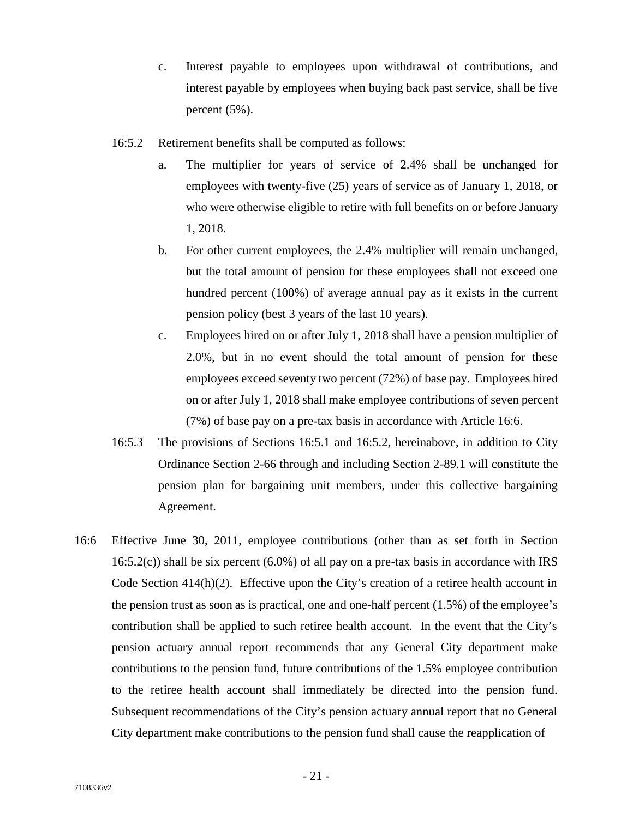- c. Interest payable to employees upon withdrawal of contributions, and interest payable by employees when buying back past service, shall be five percent (5%).
- 16:5.2 Retirement benefits shall be computed as follows:
	- a. The multiplier for years of service of 2.4% shall be unchanged for employees with twenty-five (25) years of service as of January 1, 2018, or who were otherwise eligible to retire with full benefits on or before January 1, 2018.
	- b. For other current employees, the 2.4% multiplier will remain unchanged, but the total amount of pension for these employees shall not exceed one hundred percent (100%) of average annual pay as it exists in the current pension policy (best 3 years of the last 10 years).
	- c. Employees hired on or after July 1, 2018 shall have a pension multiplier of 2.0%, but in no event should the total amount of pension for these employees exceed seventy two percent (72%) of base pay. Employees hired on or after July 1, 2018 shall make employee contributions of seven percent (7%) of base pay on a pre-tax basis in accordance with Article 16:6.
- 16:5.3 The provisions of Sections 16:5.1 and 16:5.2, hereinabove, in addition to City Ordinance Section 2-66 through and including Section 2-89.1 will constitute the pension plan for bargaining unit members, under this collective bargaining Agreement.
- 16:6 Effective June 30, 2011, employee contributions (other than as set forth in Section  $16:5.2(c)$ ) shall be six percent (6.0%) of all pay on a pre-tax basis in accordance with IRS Code Section 414(h)(2). Effective upon the City's creation of a retiree health account in the pension trust as soon as is practical, one and one-half percent  $(1.5\%)$  of the employee's contribution shall be applied to such retiree health account. In the event that the City's pension actuary annual report recommends that any General City department make contributions to the pension fund, future contributions of the 1.5% employee contribution to the retiree health account shall immediately be directed into the pension fund. Subsequent recommendations of the City's pension actuary annual report that no General City department make contributions to the pension fund shall cause the reapplication of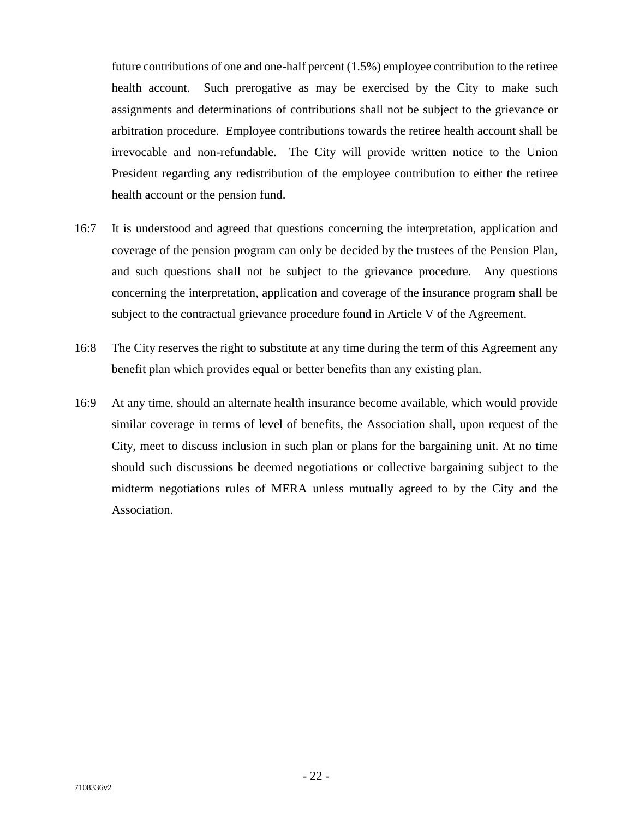future contributions of one and one-half percent (1.5%) employee contribution to the retiree health account. Such prerogative as may be exercised by the City to make such assignments and determinations of contributions shall not be subject to the grievance or arbitration procedure. Employee contributions towards the retiree health account shall be irrevocable and non-refundable. The City will provide written notice to the Union President regarding any redistribution of the employee contribution to either the retiree health account or the pension fund.

- 16:7 It is understood and agreed that questions concerning the interpretation, application and coverage of the pension program can only be decided by the trustees of the Pension Plan, and such questions shall not be subject to the grievance procedure. Any questions concerning the interpretation, application and coverage of the insurance program shall be subject to the contractual grievance procedure found in Article V of the Agreement.
- 16:8 The City reserves the right to substitute at any time during the term of this Agreement any benefit plan which provides equal or better benefits than any existing plan.
- 16:9 At any time, should an alternate health insurance become available, which would provide similar coverage in terms of level of benefits, the Association shall, upon request of the City, meet to discuss inclusion in such plan or plans for the bargaining unit. At no time should such discussions be deemed negotiations or collective bargaining subject to the midterm negotiations rules of MERA unless mutually agreed to by the City and the Association.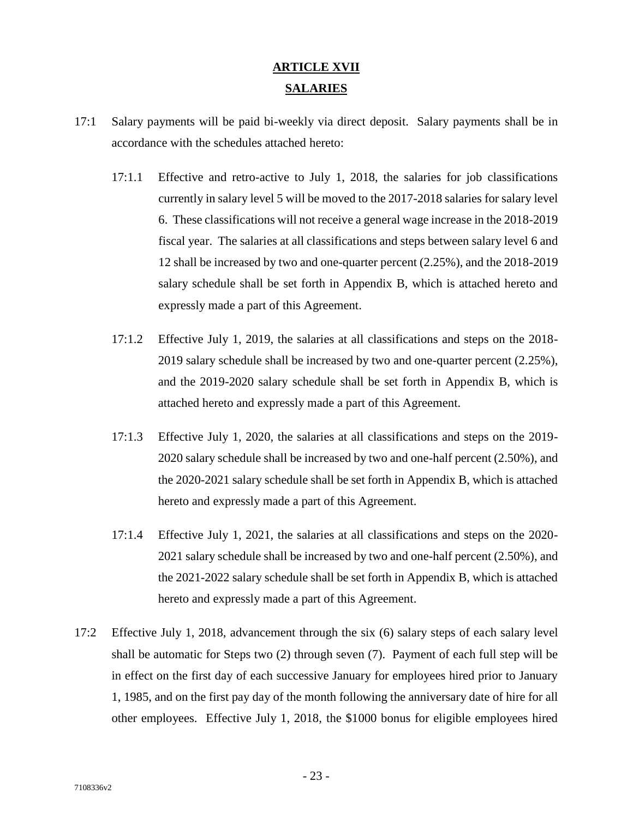# **ARTICLE XVII SALARIES**

- 17:1 Salary payments will be paid bi-weekly via direct deposit. Salary payments shall be in accordance with the schedules attached hereto:
	- 17:1.1 Effective and retro-active to July 1, 2018, the salaries for job classifications currently in salary level 5 will be moved to the 2017-2018 salaries for salary level 6. These classifications will not receive a general wage increase in the 2018-2019 fiscal year. The salaries at all classifications and steps between salary level 6 and 12 shall be increased by two and one-quarter percent (2.25%), and the 2018-2019 salary schedule shall be set forth in Appendix B, which is attached hereto and expressly made a part of this Agreement.
	- 17:1.2 Effective July 1, 2019, the salaries at all classifications and steps on the 2018- 2019 salary schedule shall be increased by two and one-quarter percent (2.25%), and the 2019-2020 salary schedule shall be set forth in Appendix B, which is attached hereto and expressly made a part of this Agreement.
	- 17:1.3 Effective July 1, 2020, the salaries at all classifications and steps on the 2019- 2020 salary schedule shall be increased by two and one-half percent (2.50%), and the 2020-2021 salary schedule shall be set forth in Appendix B, which is attached hereto and expressly made a part of this Agreement.
	- 17:1.4 Effective July 1, 2021, the salaries at all classifications and steps on the 2020- 2021 salary schedule shall be increased by two and one-half percent (2.50%), and the 2021-2022 salary schedule shall be set forth in Appendix B, which is attached hereto and expressly made a part of this Agreement.
- 17:2 Effective July 1, 2018, advancement through the six (6) salary steps of each salary level shall be automatic for Steps two (2) through seven (7). Payment of each full step will be in effect on the first day of each successive January for employees hired prior to January 1, 1985, and on the first pay day of the month following the anniversary date of hire for all other employees. Effective July 1, 2018, the \$1000 bonus for eligible employees hired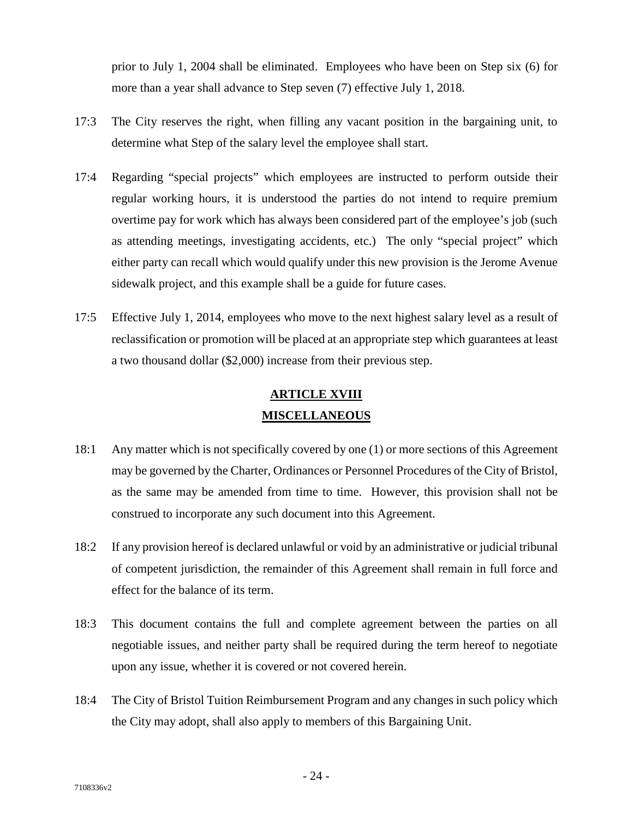prior to July 1, 2004 shall be eliminated. Employees who have been on Step six (6) for more than a year shall advance to Step seven (7) effective July 1, 2018.

- 17:3 The City reserves the right, when filling any vacant position in the bargaining unit, to determine what Step of the salary level the employee shall start.
- 17:4 Regarding "special projects" which employees are instructed to perform outside their regular working hours, it is understood the parties do not intend to require premium overtime pay for work which has always been considered part of the employee's job (such as attending meetings, investigating accidents, etc.) The only "special project" which either party can recall which would qualify under this new provision is the Jerome Avenue sidewalk project, and this example shall be a guide for future cases.
- 17:5 Effective July 1, 2014, employees who move to the next highest salary level as a result of reclassification or promotion will be placed at an appropriate step which guarantees at least a two thousand dollar (\$2,000) increase from their previous step.

### **ARTICLE XVIII MISCELLANEOUS**

- 18:1 Any matter which is not specifically covered by one (1) or more sections of this Agreement may be governed by the Charter, Ordinances or Personnel Procedures of the City of Bristol, as the same may be amended from time to time. However, this provision shall not be construed to incorporate any such document into this Agreement.
- 18:2 If any provision hereof is declared unlawful or void by an administrative or judicial tribunal of competent jurisdiction, the remainder of this Agreement shall remain in full force and effect for the balance of its term.
- 18:3 This document contains the full and complete agreement between the parties on all negotiable issues, and neither party shall be required during the term hereof to negotiate upon any issue, whether it is covered or not covered herein.
- 18:4 The City of Bristol Tuition Reimbursement Program and any changes in such policy which the City may adopt, shall also apply to members of this Bargaining Unit.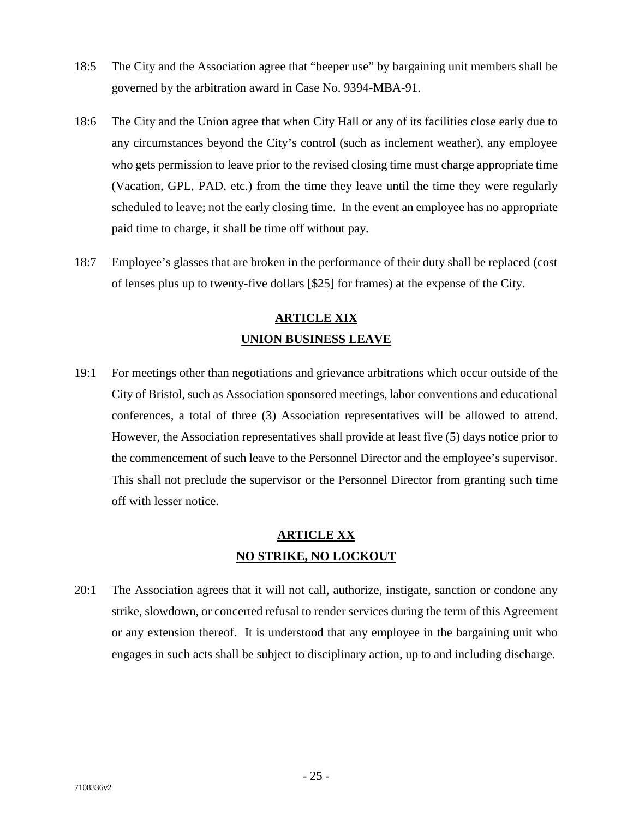- 18:5 The City and the Association agree that "beeper use" by bargaining unit members shall be governed by the arbitration award in Case No. 9394-MBA-91.
- 18:6 The City and the Union agree that when City Hall or any of its facilities close early due to any circumstances beyond the City's control (such as inclement weather), any employee who gets permission to leave prior to the revised closing time must charge appropriate time (Vacation, GPL, PAD, etc.) from the time they leave until the time they were regularly scheduled to leave; not the early closing time. In the event an employee has no appropriate paid time to charge, it shall be time off without pay.
- 18:7 Employee's glasses that are broken in the performance of their duty shall be replaced (cost of lenses plus up to twenty-five dollars [\$25] for frames) at the expense of the City.

# **ARTICLE XIX UNION BUSINESS LEAVE**

19:1 For meetings other than negotiations and grievance arbitrations which occur outside of the City of Bristol, such as Association sponsored meetings, labor conventions and educational conferences, a total of three (3) Association representatives will be allowed to attend. However, the Association representatives shall provide at least five (5) days notice prior to the commencement of such leave to the Personnel Director and the employee's supervisor. This shall not preclude the supervisor or the Personnel Director from granting such time off with lesser notice.

### **ARTICLE XX NO STRIKE, NO LOCKOUT**

20:1 The Association agrees that it will not call, authorize, instigate, sanction or condone any strike, slowdown, or concerted refusal to render services during the term of this Agreement or any extension thereof. It is understood that any employee in the bargaining unit who engages in such acts shall be subject to disciplinary action, up to and including discharge.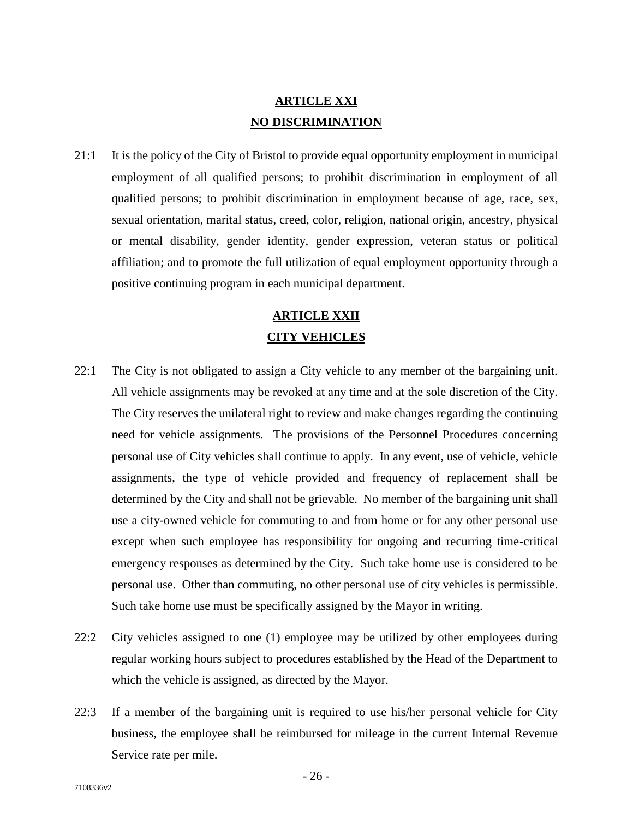## **ARTICLE XXI NO DISCRIMINATION**

21:1 It is the policy of the City of Bristol to provide equal opportunity employment in municipal employment of all qualified persons; to prohibit discrimination in employment of all qualified persons; to prohibit discrimination in employment because of age, race, sex, sexual orientation, marital status, creed, color, religion, national origin, ancestry, physical or mental disability, gender identity, gender expression, veteran status or political affiliation; and to promote the full utilization of equal employment opportunity through a positive continuing program in each municipal department.

# **ARTICLE XXII CITY VEHICLES**

- 22:1 The City is not obligated to assign a City vehicle to any member of the bargaining unit. All vehicle assignments may be revoked at any time and at the sole discretion of the City. The City reserves the unilateral right to review and make changes regarding the continuing need for vehicle assignments. The provisions of the Personnel Procedures concerning personal use of City vehicles shall continue to apply. In any event, use of vehicle, vehicle assignments, the type of vehicle provided and frequency of replacement shall be determined by the City and shall not be grievable. No member of the bargaining unit shall use a city-owned vehicle for commuting to and from home or for any other personal use except when such employee has responsibility for ongoing and recurring time-critical emergency responses as determined by the City. Such take home use is considered to be personal use. Other than commuting, no other personal use of city vehicles is permissible. Such take home use must be specifically assigned by the Mayor in writing.
- 22:2 City vehicles assigned to one (1) employee may be utilized by other employees during regular working hours subject to procedures established by the Head of the Department to which the vehicle is assigned, as directed by the Mayor.
- 22:3 If a member of the bargaining unit is required to use his/her personal vehicle for City business, the employee shall be reimbursed for mileage in the current Internal Revenue Service rate per mile.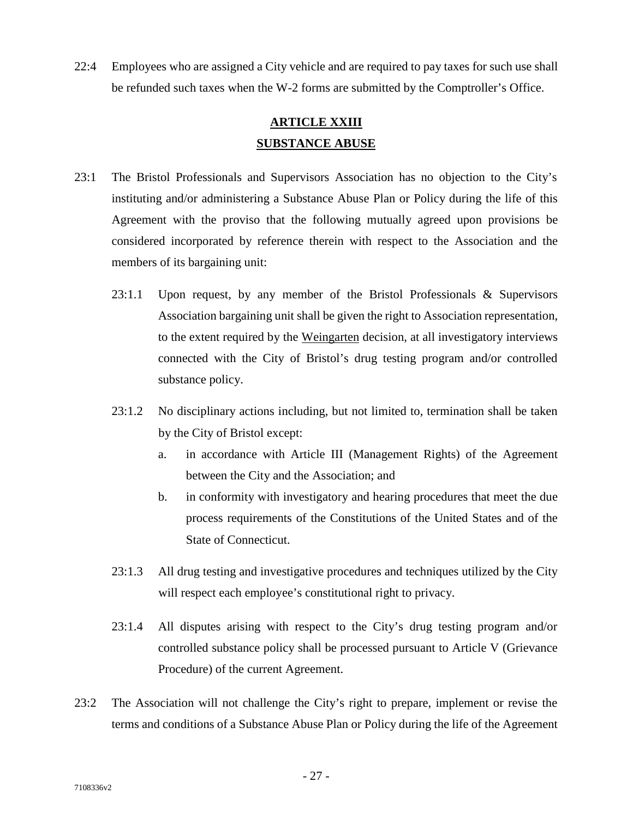22:4 Employees who are assigned a City vehicle and are required to pay taxes for such use shall be refunded such taxes when the W-2 forms are submitted by the Comptroller's Office.

## **ARTICLE XXIII SUBSTANCE ABUSE**

- 23:1 The Bristol Professionals and Supervisors Association has no objection to the City's instituting and/or administering a Substance Abuse Plan or Policy during the life of this Agreement with the proviso that the following mutually agreed upon provisions be considered incorporated by reference therein with respect to the Association and the members of its bargaining unit:
	- 23:1.1 Upon request, by any member of the Bristol Professionals & Supervisors Association bargaining unit shall be given the right to Association representation, to the extent required by the Weingarten decision, at all investigatory interviews connected with the City of Bristol's drug testing program and/or controlled substance policy.
	- 23:1.2 No disciplinary actions including, but not limited to, termination shall be taken by the City of Bristol except:
		- a. in accordance with Article III (Management Rights) of the Agreement between the City and the Association; and
		- b. in conformity with investigatory and hearing procedures that meet the due process requirements of the Constitutions of the United States and of the State of Connecticut.
	- 23:1.3 All drug testing and investigative procedures and techniques utilized by the City will respect each employee's constitutional right to privacy.
	- 23:1.4 All disputes arising with respect to the City's drug testing program and/or controlled substance policy shall be processed pursuant to Article V (Grievance Procedure) of the current Agreement.
- 23:2 The Association will not challenge the City's right to prepare, implement or revise the terms and conditions of a Substance Abuse Plan or Policy during the life of the Agreement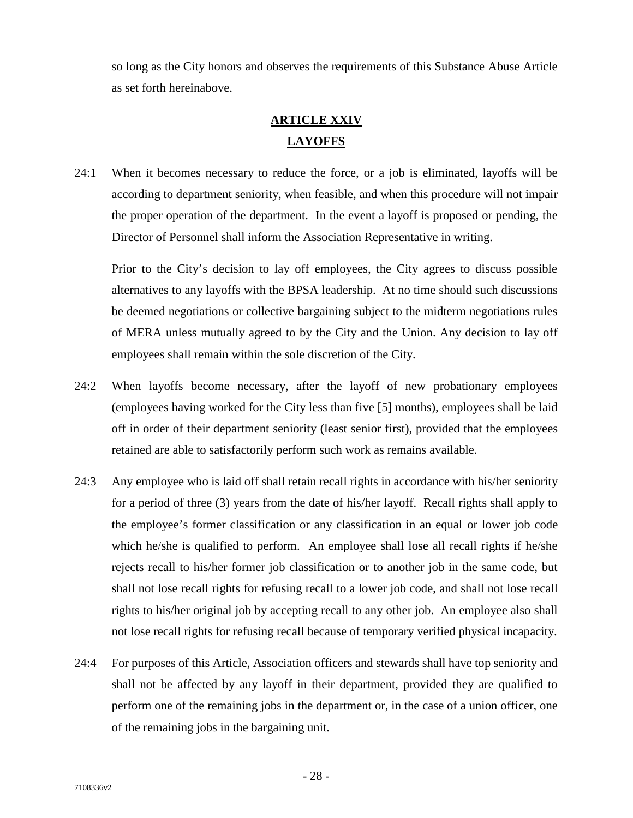so long as the City honors and observes the requirements of this Substance Abuse Article as set forth hereinabove.

# **ARTICLE XXIV LAYOFFS**

24:1 When it becomes necessary to reduce the force, or a job is eliminated, layoffs will be according to department seniority, when feasible, and when this procedure will not impair the proper operation of the department. In the event a layoff is proposed or pending, the Director of Personnel shall inform the Association Representative in writing.

Prior to the City's decision to lay off employees, the City agrees to discuss possible alternatives to any layoffs with the BPSA leadership. At no time should such discussions be deemed negotiations or collective bargaining subject to the midterm negotiations rules of MERA unless mutually agreed to by the City and the Union. Any decision to lay off employees shall remain within the sole discretion of the City.

- 24:2 When layoffs become necessary, after the layoff of new probationary employees (employees having worked for the City less than five [5] months), employees shall be laid off in order of their department seniority (least senior first), provided that the employees retained are able to satisfactorily perform such work as remains available. Examployees having worked for the City less than five [5] months), employees shall be laid<br>off in order of their department seniority (least senior first), provided that the employees<br>retained are able to satisfactorily p
- for a period of three (3) years from the date of his/her layoff. Recall rights shall apply to the employee's former classification or any classification in an equal or lower job code which he/she is qualified to perform. An employee shall lose all recall rights if he/she rejects recall to his/her former job classification or to another job in the same code, but shall not lose recall rights for refusing recall to a lower job code, and shall not lose recall rights to his/her original job by accepting recall to any other job. An employee also shall not lose recall rights for refusing recall because of temporary verified physical incapacity.
- 24:4 For purposes of this Article, Association officers and stewards shall have top seniority and shall not be affected by any layoff in their department, provided they are qualified to perform one of the remaining jobs in the department or, in the case of a union officer, one of the remaining jobs in the bargaining unit.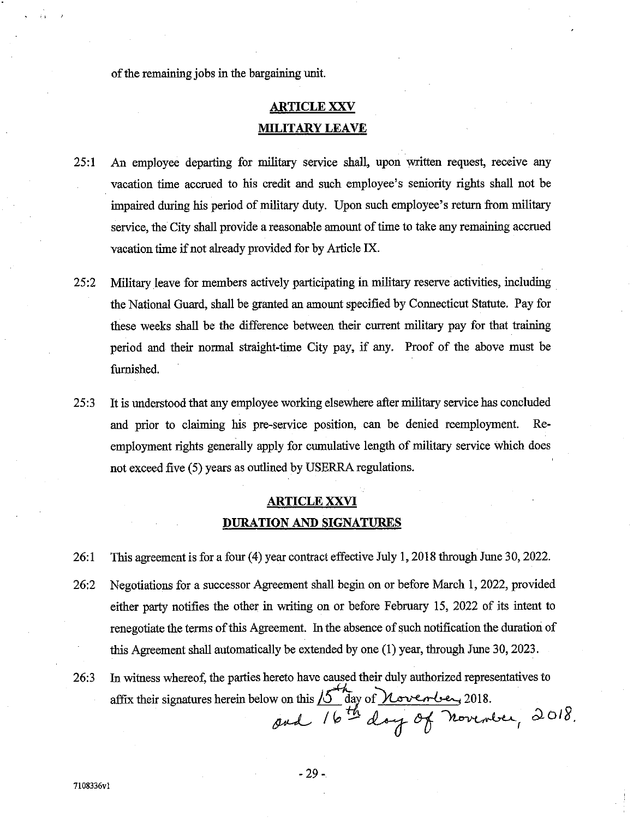of the remaining jobs in the bargaining unit.

## **ARTICLE XXV MILITARY LEAVE**

- $25:1$ An employee departing for military service shall, upon written request, receive any vacation time accrued to his credit and such employee's seniority rights shall not be impaired during his period of military duty. Upon such employee's return from military service, the City shall provide a reasonable amount of time to take any remaining accrued vacation time if not already provided for by Article IX.
- 25:2 Military leave for members actively participating in military reserve activities, including the National Guard, shall be granted an amount specified by Connecticut Statute. Pay for these weeks shall be the difference between their current military pay for that training period and their normal straight-time City pay, if any. Proof of the above must be furnished.
- $25:3$ It is understood that any employee working elsewhere after military service has concluded and prior to claiming his pre-service position, can be denied reemployment.  $Re$ employment rights generally apply for cumulative length of military service which does not exceed five (5) years as outlined by USERRA regulations.

### **ARTICLE XXVI** DURATION AND SIGNATURES

- This agreement is for a four (4) year contract effective July 1, 2018 through June 30, 2022. 26:1
- 26:2 Negotiations for a successor Agreement shall begin on or before March 1, 2022, provided either party notifies the other in writing on or before February 15, 2022 of its intent to renegotiate the terms of this Agreement. In the absence of such notification the duration of this Agreement shall automatically be extended by one (1) year, through June 30, 2023.
- In witness whereof, the parties hereto have caused their duly authorized representatives to 26:3 affix their signatures herein below on this  $15\frac{h}{\omega}$  day of November, 2018.<br>and  $16\frac{h}{\omega}$  day of November, 2018.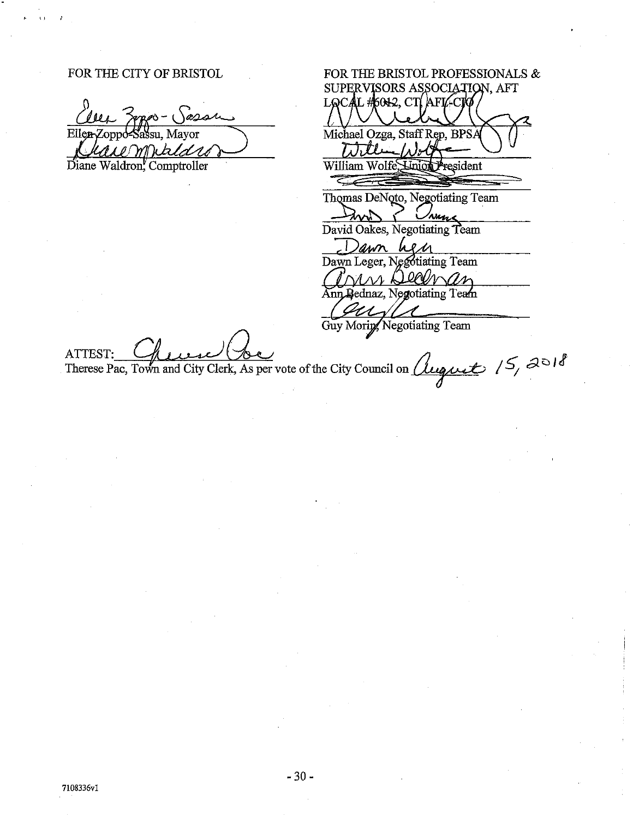#### FOR THE CITY OF BRISTOL

Ellen Sassu. Mavor onno. emnaldro Diane Waldron, Comptroller

FOR THE BRISTOL PROFESSIONALS  $\&$ SUPERVISORS ASSOCIATION, AFT LQCAL #6012, CTI AFIZ-CIO Michael Ozga, Staff Rep, BPSA  $\overline{L}$ William Wolfe, Linion President Thomas DeNoto, Negotiating Team 'nuns David Oakes, Negotiating Team awn  $\ell$  M Dawn Leger, Negotiating Team s Deanan Ann Bednaz, Negotiating Team Guy Moring Negotiating Team

**ATTEST** 

Therese Pac, Town and City Clerk, As per vote of the City Council on *Quaguet 15, 2018*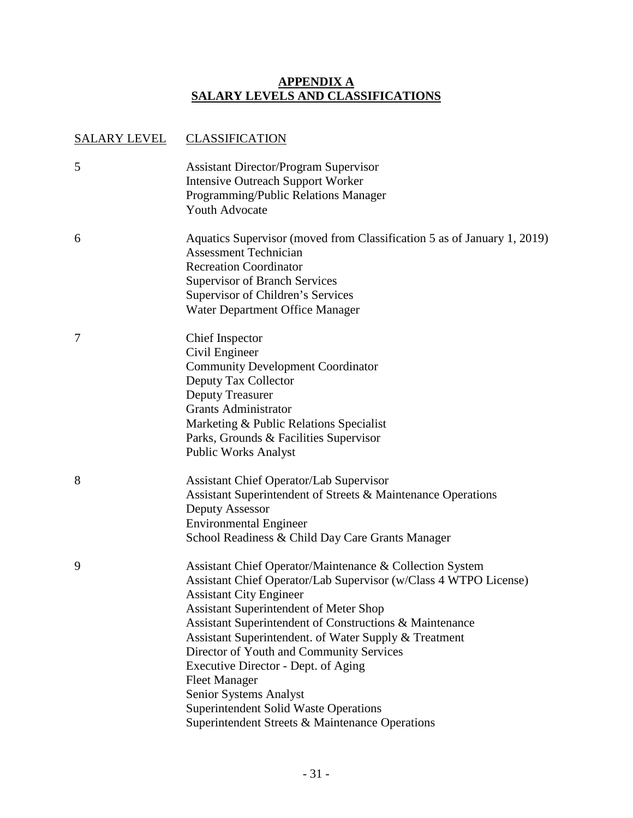#### **APPENDIX A SALARY LEVELS AND CLASSIFICATIONS**

#### SALARY LEVEL CLASSIFICATION

| 5 | <b>Assistant Director/Program Supervisor</b><br><b>Intensive Outreach Support Worker</b><br>Programming/Public Relations Manager<br>Youth Advocate                                                                                                                                                                                                                                                                                                                                                                                                                          |
|---|-----------------------------------------------------------------------------------------------------------------------------------------------------------------------------------------------------------------------------------------------------------------------------------------------------------------------------------------------------------------------------------------------------------------------------------------------------------------------------------------------------------------------------------------------------------------------------|
| 6 | Aquatics Supervisor (moved from Classification 5 as of January 1, 2019)<br><b>Assessment Technician</b><br><b>Recreation Coordinator</b><br><b>Supervisor of Branch Services</b><br>Supervisor of Children's Services<br>Water Department Office Manager                                                                                                                                                                                                                                                                                                                    |
| 7 | <b>Chief Inspector</b><br>Civil Engineer<br><b>Community Development Coordinator</b><br>Deputy Tax Collector<br><b>Deputy Treasurer</b><br><b>Grants Administrator</b><br>Marketing & Public Relations Specialist<br>Parks, Grounds & Facilities Supervisor<br><b>Public Works Analyst</b>                                                                                                                                                                                                                                                                                  |
| 8 | <b>Assistant Chief Operator/Lab Supervisor</b><br>Assistant Superintendent of Streets & Maintenance Operations<br>Deputy Assessor<br><b>Environmental Engineer</b><br>School Readiness & Child Day Care Grants Manager                                                                                                                                                                                                                                                                                                                                                      |
| 9 | Assistant Chief Operator/Maintenance & Collection System<br>Assistant Chief Operator/Lab Supervisor (w/Class 4 WTPO License)<br><b>Assistant City Engineer</b><br><b>Assistant Superintendent of Meter Shop</b><br>Assistant Superintendent of Constructions & Maintenance<br>Assistant Superintendent. of Water Supply & Treatment<br>Director of Youth and Community Services<br>Executive Director - Dept. of Aging<br><b>Fleet Manager</b><br>Senior Systems Analyst<br><b>Superintendent Solid Waste Operations</b><br>Superintendent Streets & Maintenance Operations |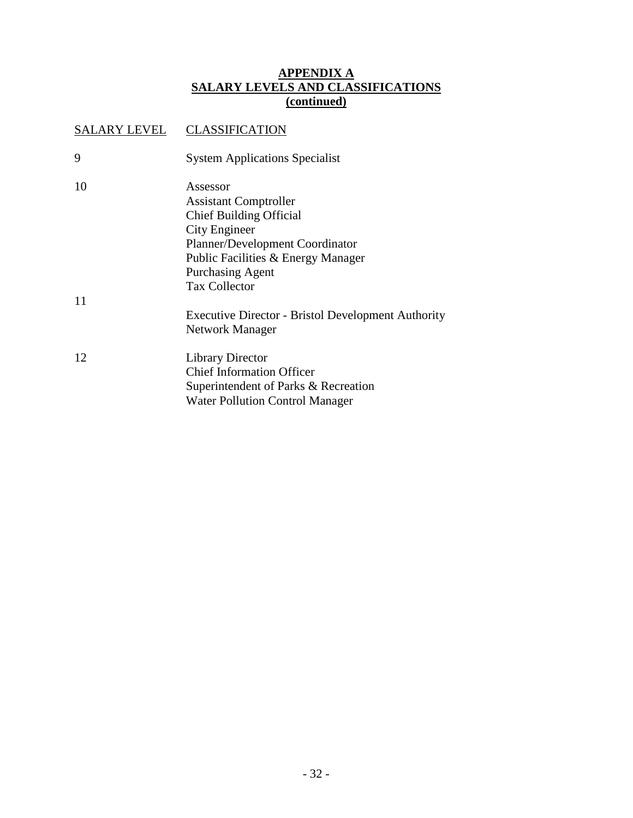#### **APPENDIX A SALARY LEVELS AND CLASSIFICATIONS (continued)**

## SALARY LEVEL CLASSIFICATION 9 System Applications Specialist 10 Assessor Assistant Comptroller Chief Building Official City Engineer Planner/Development Coordinator Public Facilities & Energy Manager Purchasing Agent Tax Collector 11 Executive Director - Bristol Development Authority Network Manager 12 Library Director Chief Information Officer Superintendent of Parks & Recreation Water Pollution Control Manager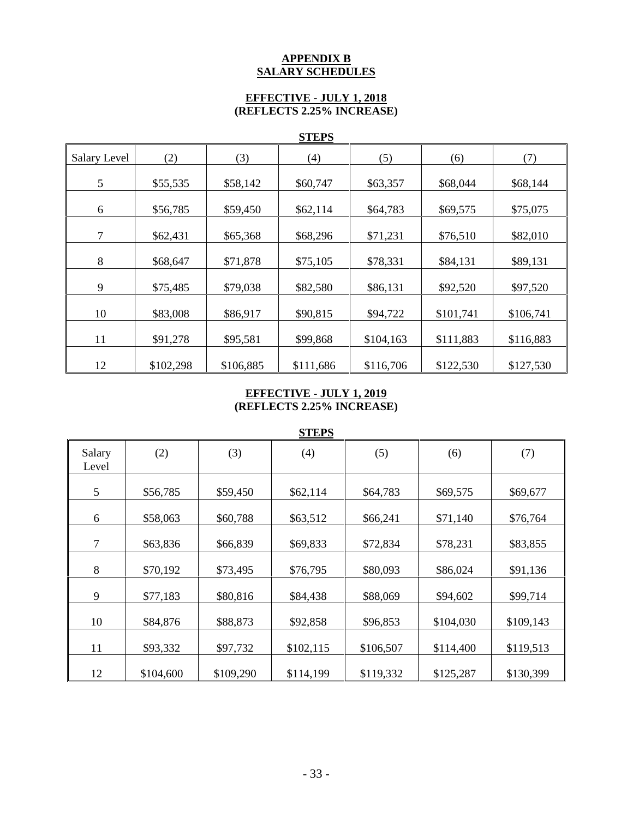#### **APPENDIX B SALARY SCHEDULES**

#### **EFFECTIVE - JULY 1, 2018 (REFLECTS 2.25% INCREASE)**

#### **STEPS**

|              |           |           | $rac{1}{2}$ |           |           |           |
|--------------|-----------|-----------|-------------|-----------|-----------|-----------|
| Salary Level | (2)       | (3)       | (4)         | (5)       | (6)       | (7)       |
| 5            | \$55,535  | \$58,142  | \$60,747    | \$63,357  | \$68,044  | \$68,144  |
|              |           |           |             |           |           |           |
| 6            | \$56,785  | \$59,450  | \$62,114    | \$64,783  | \$69,575  | \$75,075  |
| 7            | \$62,431  | \$65,368  | \$68,296    | \$71,231  | \$76,510  | \$82,010  |
| 8            | \$68,647  | \$71,878  | \$75,105    | \$78,331  | \$84,131  | \$89,131  |
| 9            | \$75,485  | \$79,038  | \$82,580    | \$86,131  | \$92,520  | \$97,520  |
| 10           | \$83,008  | \$86,917  | \$90,815    | \$94,722  | \$101,741 | \$106,741 |
| 11           | \$91,278  | \$95,581  | \$99,868    | \$104,163 | \$111,883 | \$116,883 |
| 12           | \$102,298 | \$106,885 | \$111,686   | \$116,706 | \$122,530 | \$127,530 |

#### **EFFECTIVE - JULY 1, 2019 (REFLECTS 2.25% INCREASE)**

|                 | <b>STEPS</b> |           |           |           |           |           |
|-----------------|--------------|-----------|-----------|-----------|-----------|-----------|
| Salary<br>Level | (2)          | (3)       | (4)       | (5)       | (6)       | (7)       |
| 5               | \$56,785     | \$59,450  | \$62,114  | \$64,783  | \$69,575  | \$69,677  |
| 6               | \$58,063     | \$60,788  | \$63,512  | \$66,241  | \$71,140  | \$76,764  |
| $\overline{7}$  | \$63,836     | \$66,839  | \$69,833  | \$72,834  | \$78,231  | \$83,855  |
| 8               | \$70,192     | \$73,495  | \$76,795  | \$80,093  | \$86,024  | \$91,136  |
| 9               | \$77,183     | \$80,816  | \$84,438  | \$88,069  | \$94,602  | \$99,714  |
| 10              | \$84,876     | \$88,873  | \$92,858  | \$96,853  | \$104,030 | \$109,143 |
| 11              | \$93,332     | \$97,732  | \$102,115 | \$106,507 | \$114,400 | \$119,513 |
| 12              | \$104,600    | \$109,290 | \$114,199 | \$119,332 | \$125,287 | \$130,399 |

#### **STEPS**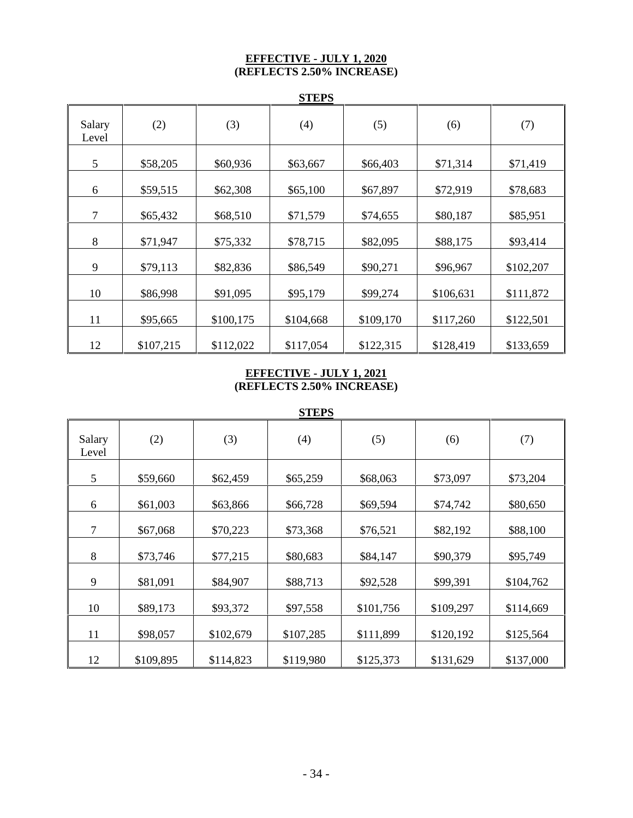#### **EFFECTIVE - JULY 1, 2020 (REFLECTS 2.50% INCREASE)**

|                 | <b>STEPS</b> |           |           |           |           |           |
|-----------------|--------------|-----------|-----------|-----------|-----------|-----------|
| Salary<br>Level | (2)          | (3)       | (4)       | (5)       | (6)       | (7)       |
| 5               | \$58,205     | \$60,936  | \$63,667  | \$66,403  | \$71,314  | \$71,419  |
| 6               | \$59,515     | \$62,308  | \$65,100  | \$67,897  | \$72,919  | \$78,683  |
| $\tau$          | \$65,432     | \$68,510  | \$71,579  | \$74,655  | \$80,187  | \$85,951  |
| 8               | \$71,947     | \$75,332  | \$78,715  | \$82,095  | \$88,175  | \$93,414  |
| 9               | \$79,113     | \$82,836  | \$86,549  | \$90,271  | \$96,967  | \$102,207 |
| 10              | \$86,998     | \$91,095  | \$95,179  | \$99,274  | \$106,631 | \$111,872 |
| 11              | \$95,665     | \$100,175 | \$104,668 | \$109,170 | \$117,260 | \$122,501 |
| 12              | \$107,215    | \$112,022 | \$117,054 | \$122,315 | \$128,419 | \$133,659 |

#### **EFFECTIVE - JULY 1, 2021 (REFLECTS 2.50% INCREASE)**

|                 | <b>STEPS</b> |           |           |           |           |           |
|-----------------|--------------|-----------|-----------|-----------|-----------|-----------|
| Salary<br>Level | (2)          | (3)       | (4)       | (5)       | (6)       | (7)       |
| 5               | \$59,660     | \$62,459  | \$65,259  | \$68,063  | \$73,097  | \$73,204  |
| 6               | \$61,003     | \$63,866  | \$66,728  | \$69,594  | \$74,742  | \$80,650  |
| 7               | \$67,068     | \$70,223  | \$73,368  | \$76,521  | \$82,192  | \$88,100  |
| 8               | \$73,746     | \$77,215  | \$80,683  | \$84,147  | \$90,379  | \$95,749  |
| 9               | \$81,091     | \$84,907  | \$88,713  | \$92,528  | \$99,391  | \$104,762 |
| 10              | \$89,173     | \$93,372  | \$97,558  | \$101,756 | \$109,297 | \$114,669 |
| 11              | \$98,057     | \$102,679 | \$107,285 | \$111,899 | \$120,192 | \$125,564 |
| 12              | \$109,895    | \$114,823 | \$119,980 | \$125,373 | \$131,629 | \$137,000 |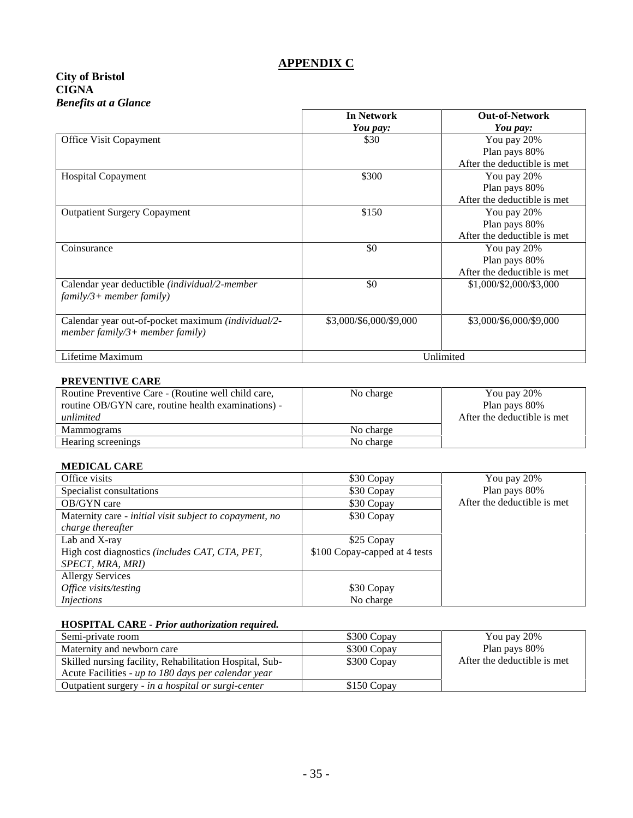#### **APPENDIX C**

#### **City of Bristol CIGNA** *Benefits at a Glance*

|                                                    | <b>In Network</b>       | <b>Out-of-Network</b>        |
|----------------------------------------------------|-------------------------|------------------------------|
|                                                    | You pay:                | You pay:                     |
| Office Visit Copayment                             | \$30                    | You pay 20%                  |
|                                                    |                         | Plan pays 80%                |
|                                                    |                         | After the deductible is met  |
| <b>Hospital Copayment</b>                          | \$300                   | You pay 20%                  |
|                                                    |                         | Plan pays 80%                |
|                                                    |                         | After the deductible is met  |
| <b>Outpatient Surgery Copayment</b>                | \$150                   | You pay 20%                  |
|                                                    |                         | Plan pays 80%                |
|                                                    |                         | After the deductible is met  |
| Coinsurance                                        | \$0                     | You pay 20%                  |
|                                                    |                         | Plan pays 80%                |
|                                                    |                         | After the deductible is met. |
| Calendar year deductible (individual/2-member      | \$0                     | \$1,000/\$2,000/\$3,000      |
| $family/3 + member family)$                        |                         |                              |
| Calendar year out-of-pocket maximum (individual/2- | \$3,000/\$6,000/\$9,000 | \$3,000/\$6,000/\$9,000      |
| member family/3+ member family)                    |                         |                              |
| Lifetime Maximum                                   |                         | Unlimited                    |
|                                                    |                         |                              |

#### **PREVENTIVE CARE**

| Routine Preventive Care - (Routine well child care,<br>routine OB/GYN care, routine health examinations) -<br>unlimited | No charge | You pay 20%<br>Plan pays 80%<br>After the deductible is met. |
|-------------------------------------------------------------------------------------------------------------------------|-----------|--------------------------------------------------------------|
| Mammograms                                                                                                              | No charge |                                                              |
| Hearing screenings                                                                                                      | No charge |                                                              |

#### **MEDICAL CARE**

| Office visits                                           | \$30 Copay                    | You pay 20%                  |
|---------------------------------------------------------|-------------------------------|------------------------------|
| Specialist consultations                                | \$30 Copay                    | Plan pays 80%                |
| OB/GYN care                                             | \$30 Copay                    | After the deductible is met. |
| Maternity care - initial visit subject to copayment, no | \$30 Copay                    |                              |
| charge thereafter                                       |                               |                              |
| Lab and X-ray                                           | \$25 Copay                    |                              |
| High cost diagnostics (includes CAT, CTA, PET,          | \$100 Copay-capped at 4 tests |                              |
| SPECT, MRA, MRI)                                        |                               |                              |
| <b>Allergy Services</b>                                 |                               |                              |
| Office visits/testing                                   | \$30 Copay                    |                              |
| <i>Injections</i>                                       | No charge                     |                              |

#### **HOSPITAL CARE -** *Prior authorization required.*

| Semi-private room                                       | \$300 Copay | You pay 20%                  |
|---------------------------------------------------------|-------------|------------------------------|
| Maternity and newborn care                              | \$300 Copay | Plan pays 80%                |
| Skilled nursing facility, Rehabilitation Hospital, Sub- | \$300 Copay | After the deductible is met. |
| Acute Facilities - up to 180 days per calendar year     |             |                              |
| Outpatient surgery - in a hospital or surgi-center      | \$150 Copay |                              |